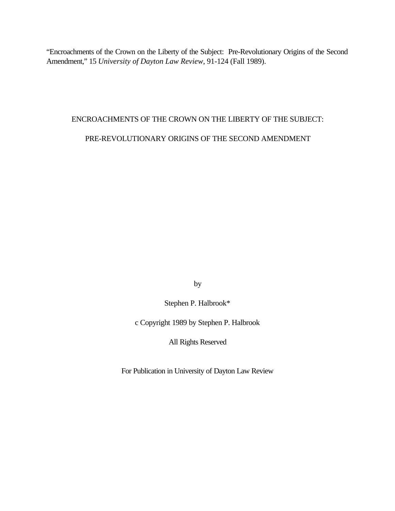"Encroachments of the Crown on the Liberty of the Subject: Pre-Revolutionary Origins of the Second Amendment," 15 *University of Dayton Law Review*, 91-124 (Fall 1989).

# ENCROACHMENTS OF THE CROWN ON THE LIBERTY OF THE SUBJECT:

# PRE-REVOLUTIONARY ORIGINS OF THE SECOND AMENDMENT

by

Stephen P. Halbrook\*

c Copyright 1989 by Stephen P. Halbrook

All Rights Reserved

For Publication in University of Dayton Law Review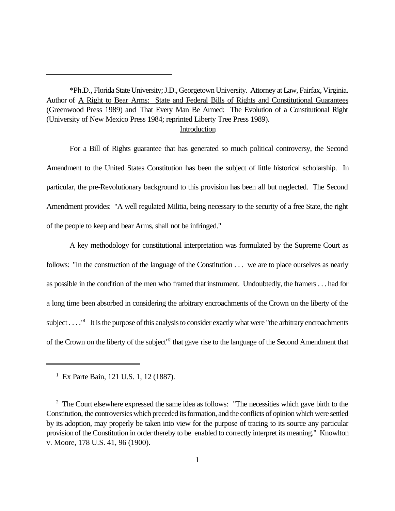For a Bill of Rights guarantee that has generated so much political controversy, the Second Amendment to the United States Constitution has been the subject of little historical scholarship. In particular, the pre-Revolutionary background to this provision has been all but neglected. The Second Amendment provides: "A well regulated Militia, being necessary to the security of a free State, the right of the people to keep and bear Arms, shall not be infringed."

A key methodology for constitutional interpretation was formulated by the Supreme Court as follows: "In the construction of the language of the Constitution . . . we are to place ourselves as nearly as possible in the condition of the men who framed that instrument. Undoubtedly, the framers . . . had for a long time been absorbed in considering the arbitrary encroachments of the Crown on the liberty of the subject . . . . "<sup>1</sup> It is the purpose of this analysis to consider exactly what were "the arbitrary encroachments of the Crown on the liberty of the subject<sup>12</sup> that gave rise to the language of the Second Amendment that

 $\overline{a}$ 

<sup>\*</sup>Ph.D., Florida State University; J.D., Georgetown University. Attorney at Law, Fairfax, Virginia. Author of A Right to Bear Arms: State and Federal Bills of Rights and Constitutional Guarantees (Greenwood Press 1989) and That Every Man Be Armed: The Evolution of a Constitutional Right (University of New Mexico Press 1984; reprinted Liberty Tree Press 1989). Introduction

<sup>&</sup>lt;sup>1</sup> Ex Parte Bain, 121 U.S. 1, 12 (1887).

 $2$  The Court elsewhere expressed the same idea as follows: "The necessities which gave birth to the Constitution, the controversies which preceded its formation, and the conflicts of opinion which were settled by its adoption, may properly be taken into view for the purpose of tracing to its source any particular provision of the Constitution in order thereby to be enabled to correctly interpret its meaning." Knowlton v. Moore, 178 U.S. 41, 96 (1900).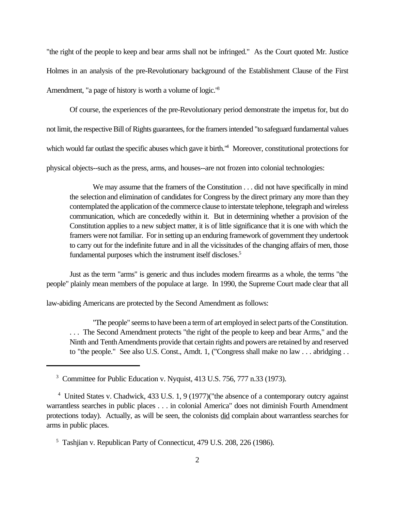"the right of the people to keep and bear arms shall not be infringed." As the Court quoted Mr. Justice Holmes in an analysis of the pre-Revolutionary background of the Establishment Clause of the First Amendment, "a page of history is worth a volume of logic."<sup>6</sup>

Of course, the experiences of the pre-Revolutionary period demonstrate the impetus for, but do not limit, the respective Bill of Rights guarantees, for the framers intended "to safeguard fundamental values which would far outlast the specific abuses which gave it birth."<sup>4</sup> Moreover, constitutional protections for physical objects--such as the press, arms, and houses--are not frozen into colonial technologies:

We may assume that the framers of the Constitution . . . did not have specifically in mind the selection and elimination of candidates for Congress by the direct primary any more than they contemplated the application of the commerce clause to interstate telephone, telegraph and wireless communication, which are concededly within it. But in determining whether a provision of the Constitution applies to a new subject matter, it is of little significance that it is one with which the framers were not familiar. For in setting up an enduring framework of government they undertook to carry out for the indefinite future and in all the vicissitudes of the changing affairs of men, those fundamental purposes which the instrument itself discloses.<sup>5</sup>

Just as the term "arms" is generic and thus includes modern firearms as a whole, the terms "the people" plainly mean members of the populace at large. In 1990, the Supreme Court made clear that all

law-abiding Americans are protected by the Second Amendment as follows:

"The people" seems to have been a term of art employed in select parts of the Constitution. . . . The Second Amendment protects "the right of the people to keep and bear Arms," and the Ninth and Tenth Amendments provide that certain rights and powers are retained by and reserved to "the people." See also U.S. Const., Amdt. 1, ("Congress shall make no law . . . abridging . .

<sup>3</sup> Committee for Public Education v. Nyquist, 413 U.S. 756, 777 n.33 (1973).

<sup>&</sup>lt;sup>4</sup> United States v. Chadwick, 433 U.S. 1, 9 (1977)("the absence of a contemporary outcry against warrantless searches in public places . . . in colonial America" does not diminish Fourth Amendment protections today). Actually, as will be seen, the colonists did complain about warrantless searches for arms in public places.

<sup>&</sup>lt;sup>5</sup> Tashjian v. Republican Party of Connecticut, 479 U.S. 208, 226 (1986).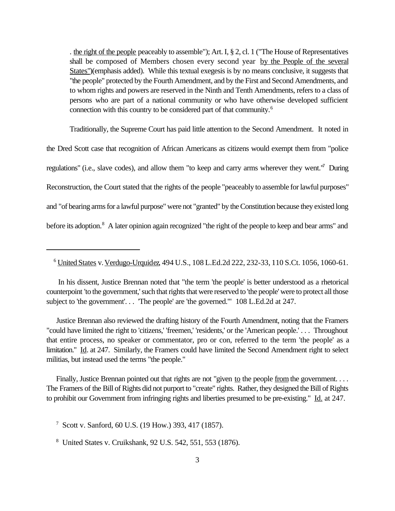. the right of the people peaceably to assemble"); Art. I, § 2, cl. 1 ("The House of Representatives shall be composed of Members chosen every second year by the People of the several States")(emphasis added). While this textual exegesis is by no means conclusive, it suggests that "the people" protected by the Fourth Amendment, and by the First and Second Amendments, and to whom rights and powers are reserved in the Ninth and Tenth Amendments, refers to a class of persons who are part of a national community or who have otherwise developed sufficient connection with this country to be considered part of that community.<sup>6</sup>

Traditionally, the Supreme Court has paid little attention to the Second Amendment. It noted in the Dred Scott case that recognition of African Americans as citizens would exempt them from "police regulations" (i.e., slave codes), and allow them "to keep and carry arms wherever they went."<sup>7</sup> During Reconstruction, the Court stated that the rights of the people "peaceably to assemble for lawful purposes" and "of bearing arms for a lawful purpose" were not "granted" by the Constitution because they existed long before its adoption.<sup>8</sup> A later opinion again recognized "the right of the people to keep and bear arms" and

 Justice Brennan also reviewed the drafting history of the Fourth Amendment, noting that the Framers "could have limited the right to 'citizens,' 'freemen,' 'residents,' or the 'American people.' . . . Throughout that entire process, no speaker or commentator, pro or con, referred to the term 'the people' as a limitation." Id. at 247. Similarly, the Framers could have limited the Second Amendment right to select militias, but instead used the terms "the people."

Finally, Justice Brennan pointed out that rights are not "given to the people from the government.... The Framers of the Bill of Rights did not purport to "create" rights. Rather, they designed the Bill of Rights to prohibit our Government from infringing rights and liberties presumed to be pre-existing." Id. at 247.

7 Scott v. Sanford, 60 U.S. (19 How.) 393, 417 (1857).

8 United States v. Cruikshank, 92 U.S. 542, 551, 553 (1876).

<sup>6</sup> United States v. Verdugo-Urquidez, 494 U.S., 108 L.Ed.2d 222, 232-33, 110 S.Ct. 1056, 1060-61.

In his dissent, Justice Brennan noted that "the term 'the people' is better understood as a rhetorical counterpoint 'to the government,' such that rights that were reserved to 'the people' were to protect all those subject to 'the government'. . . 'The people' are 'the governed.'" 108 L.Ed.2d at 247.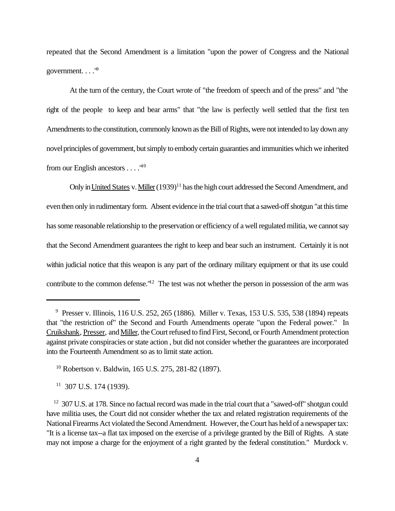repeated that the Second Amendment is a limitation "upon the power of Congress and the National government.  $\ldots$ <sup>9</sup>

At the turn of the century, the Court wrote of "the freedom of speech and of the press" and "the right of the people to keep and bear arms" that "the law is perfectly well settled that the first ten Amendments to the constitution, commonly known as the Bill of Rights, were not intended to lay down any novel principles of government, but simply to embody certain guaranties and immunities which we inherited from our English ancestors . . . ."<sup>10</sup>

Only in United States v. Miller  $(1939)^{11}$  has the high court addressed the Second Amendment, and even then only in rudimentary form. Absent evidence in the trial court that a sawed-off shotgun "at this time has some reasonable relationship to the preservation or efficiency of a well regulated militia, we cannot say that the Second Amendment guarantees the right to keep and bear such an instrument. Certainly it is not within judicial notice that this weapon is any part of the ordinary military equipment or that its use could contribute to the common defense."12 The test was not whether the person in possession of the arm was

<sup>&</sup>lt;sup>9</sup> Presser v. Illinois, 116 U.S. 252, 265 (1886). Miller v. Texas, 153 U.S. 535, 538 (1894) repeats that "the restriction of" the Second and Fourth Amendments operate "upon the Federal power." In Cruikshank, Presser, and Miller, the Court refused to find First, Second, or Fourth Amendment protection against private conspiracies or state action , but did not consider whether the guarantees are incorporated into the Fourteenth Amendment so as to limit state action.

<sup>10</sup> Robertson v. Baldwin, 165 U.S. 275, 281-82 (1897).

<sup>11</sup> 307 U.S. 174 (1939).

<sup>&</sup>lt;sup>12</sup> 307 U.S. at 178. Since no factual record was made in the trial court that a "sawed-off" shotgun could have militia uses, the Court did not consider whether the tax and related registration requirements of the National Firearms Act violated the Second Amendment. However, the Court has held of a newspaper tax: "It is a license tax--a flat tax imposed on the exercise of a privilege granted by the Bill of Rights. A state may not impose a charge for the enjoyment of a right granted by the federal constitution." Murdock v.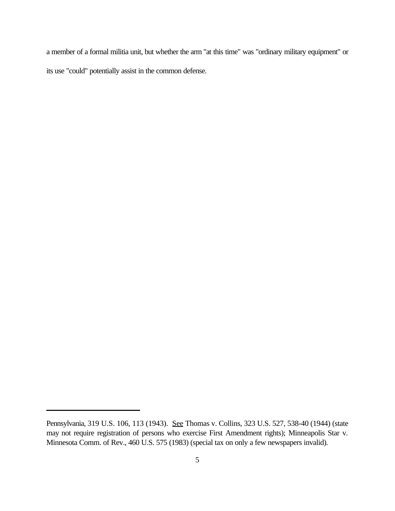a member of a formal militia unit, but whether the arm "at this time" was "ordinary military equipment" or its use "could" potentially assist in the common defense.

Pennsylvania, 319 U.S. 106, 113 (1943). See Thomas v. Collins, 323 U.S. 527, 538-40 (1944) (state may not require registration of persons who exercise First Amendment rights); Minneapolis Star v. Minnesota Comm. of Rev., 460 U.S. 575 (1983) (special tax on only a few newspapers invalid).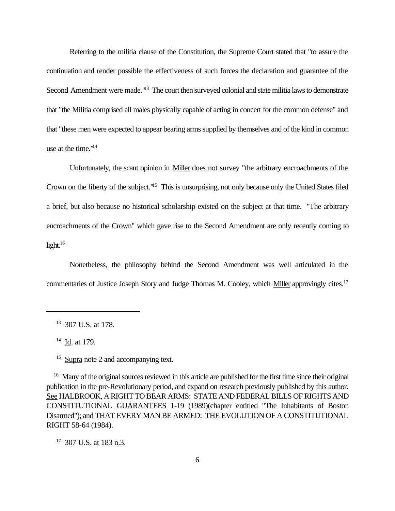Referring to the militia clause of the Constitution, the Supreme Court stated that "to assure the continuation and render possible the effectiveness of such forces the declaration and guarantee of the Second Amendment were made."<sup>13</sup> The court then surveyed colonial and state militia laws to demonstrate that "the Militia comprised all males physically capable of acting in concert for the common defense" and that "these men were expected to appear bearing arms supplied by themselves and of the kind in common use at the time."<sup>14</sup>

Unfortunately, the scant opinion in Miller does not survey "the arbitrary encroachments of the Crown on the liberty of the subject."<sup>15</sup> This is unsurprising, not only because only the United States filed a brief, but also because no historical scholarship existed on the subject at that time. "The arbitrary encroachments of the Crown" which gave rise to the Second Amendment are only recently coming to light. $16$ 

Nonetheless, the philosophy behind the Second Amendment was well articulated in the commentaries of Justice Joseph Story and Judge Thomas M. Cooley, which Miller approvingly cites.<sup>17</sup>

<sup>13</sup> 307 U.S. at 178.

 $14$  <u>Id</u>. at 179.

 $15$  Supra note 2 and accompanying text.

<sup>&</sup>lt;sup>16</sup> Many of the original sources reviewed in this article are published for the first time since their original publication in the pre-Revolutionary period, and expand on research previously published by this author. See HALBROOK, A RIGHT TO BEAR ARMS: STATE AND FEDERAL BILLS OF RIGHTS AND CONSTITUTIONAL GUARANTEES 1-19 (1989)(chapter entitled "The Inhabitants of Boston Disarmed"); and THAT EVERY MAN BE ARMED: THE EVOLUTION OF A CONSTITUTIONAL RIGHT 58-64 (1984).

<sup>17</sup> 307 U.S. at 183 n.3.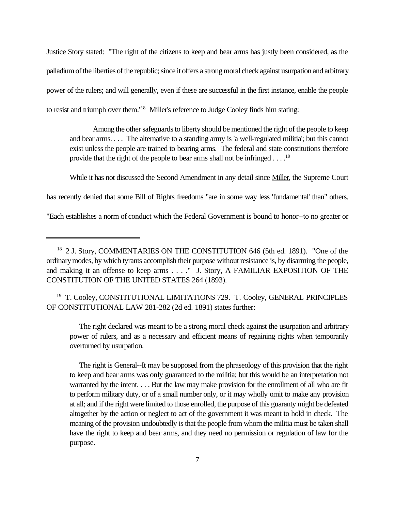Justice Story stated: "The right of the citizens to keep and bear arms has justly been considered, as the palladium of the liberties of the republic; since it offers a strong moral check against usurpation and arbitrary power of the rulers; and will generally, even if these are successful in the first instance, enable the people to resist and triumph over them."<sup>18</sup> Miller's reference to Judge Cooley finds him stating:

Among the other safeguards to liberty should be mentioned the right of the people to keep and bear arms. . . . The alternative to a standing army is 'a well-regulated militia'; but this cannot exist unless the people are trained to bearing arms. The federal and state constitutions therefore provide that the right of the people to bear arms shall not be infringed  $\dots$ .<sup>19</sup>

While it has not discussed the Second Amendment in any detail since Miller, the Supreme Court

has recently denied that some Bill of Rights freedoms "are in some way less 'fundamental' than" others.

"Each establishes a norm of conduct which the Federal Government is bound to honor--to no greater or

<sup>19</sup> T. Cooley, CONSTITUTIONAL LIMITATIONS 729. T. Cooley, GENERAL PRINCIPLES OF CONSTITUTIONAL LAW 281-282 (2d ed. 1891) states further:

 The right declared was meant to be a strong moral check against the usurpation and arbitrary power of rulers, and as a necessary and efficient means of regaining rights when temporarily overturned by usurpation.

 The right is General--It may be supposed from the phraseology of this provision that the right to keep and bear arms was only guaranteed to the militia; but this would be an interpretation not warranted by the intent. . . . But the law may make provision for the enrollment of all who are fit to perform military duty, or of a small number only, or it may wholly omit to make any provision at all; and if the right were limited to those enrolled, the purpose of this guaranty might be defeated altogether by the action or neglect to act of the government it was meant to hold in check. The meaning of the provision undoubtedly is that the people from whom the militia must be taken shall have the right to keep and bear arms, and they need no permission or regulation of law for the purpose.

<sup>18</sup> 2 J. Story, COMMENTARIES ON THE CONSTITUTION 646 (5th ed. 1891). "One of the ordinary modes, by which tyrants accomplish their purpose without resistance is, by disarming the people, and making it an offense to keep arms . . . ." J. Story, A FAMILIAR EXPOSITION OF THE CONSTITUTION OF THE UNITED STATES 264 (1893).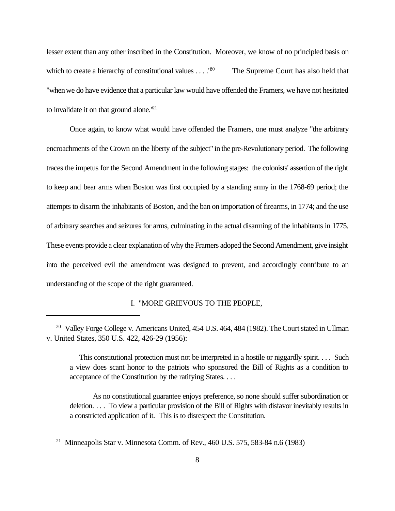lesser extent than any other inscribed in the Constitution. Moreover, we know of no principled basis on which to create a hierarchy of constitutional values  $\dots$ . "<sup>20</sup> The Supreme Court has also held that "when we do have evidence that a particular law would have offended the Framers, we have not hesitated to invalidate it on that ground alone.<sup>'21</sup>

Once again, to know what would have offended the Framers, one must analyze "the arbitrary encroachments of the Crown on the liberty of the subject" in the pre-Revolutionary period. The following traces the impetus for the Second Amendment in the following stages: the colonists' assertion of the right to keep and bear arms when Boston was first occupied by a standing army in the 1768-69 period; the attempts to disarm the inhabitants of Boston, and the ban on importation of firearms, in 1774; and the use of arbitrary searches and seizures for arms, culminating in the actual disarming of the inhabitants in 1775. These events provide a clear explanation of why the Framers adoped the Second Amendment, give insight into the perceived evil the amendment was designed to prevent, and accordingly contribute to an understanding of the scope of the right guaranteed.

## I. "MORE GRIEVOUS TO THE PEOPLE,

 This constitutional protection must not be interpreted in a hostile or niggardly spirit. . . . Such a view does scant honor to the patriots who sponsored the Bill of Rights as a condition to acceptance of the Constitution by the ratifying States. . . .

As no constitutional guarantee enjoys preference, so none should suffer subordination or deletion. . . . To view a particular provision of the Bill of Rights with disfavor inevitably results in a constricted application of it. This is to disrespect the Constitution.

<sup>&</sup>lt;sup>20</sup> Valley Forge College v. Americans United, 454 U.S. 464, 484 (1982). The Court stated in Ullman v. United States, 350 U.S. 422, 426-29 (1956):

<sup>&</sup>lt;sup>21</sup> Minneapolis Star v. Minnesota Comm. of Rev., 460 U.S. 575, 583-84 n.6 (1983)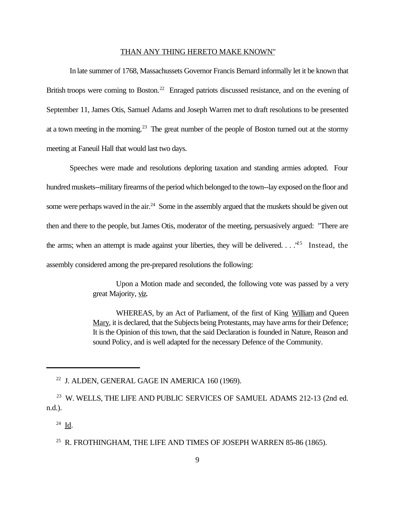#### THAN ANY THING HERETO MAKE KNOWN"

In late summer of 1768, Massachussets Governor Francis Bernard informally let it be known that British troops were coming to Boston.<sup>22</sup> Enraged patriots discussed resistance, and on the evening of September 11, James Otis, Samuel Adams and Joseph Warren met to draft resolutions to be presented at a town meeting in the morning.<sup>23</sup> The great number of the people of Boston turned out at the stormy meeting at Faneuil Hall that would last two days.

Speeches were made and resolutions deploring taxation and standing armies adopted. Four hundred muskets--military firearms of the period which belonged to the town--lay exposed on the floor and some were perhaps waved in the air.<sup>24</sup> Some in the assembly argued that the muskets should be given out then and there to the people, but James Otis, moderator of the meeting, persuasively argued: "There are the arms; when an attempt is made against your liberties, they will be delivered.  $\ldots$ <sup>25</sup> Instead, the assembly considered among the pre-prepared resolutions the following:

> Upon a Motion made and seconded, the following vote was passed by a very great Majority, viz.

> WHEREAS, by an Act of Parliament, of the first of King William and Queen Mary, it is declared, that the Subjects being Protestants, may have arms for their Defence; It is the Opinion of this town, that the said Declaration is founded in Nature, Reason and sound Policy, and is well adapted for the necessary Defence of the Community.

 $22$  J. ALDEN, GENERAL GAGE IN AMERICA 160 (1969).

<sup>23</sup> W. WELLS, THE LIFE AND PUBLIC SERVICES OF SAMUEL ADAMS 212-13 (2nd ed. n.d.).

 $^{24}$  Id.

 $25$  R. FROTHINGHAM, THE LIFE AND TIMES OF JOSEPH WARREN 85-86 (1865).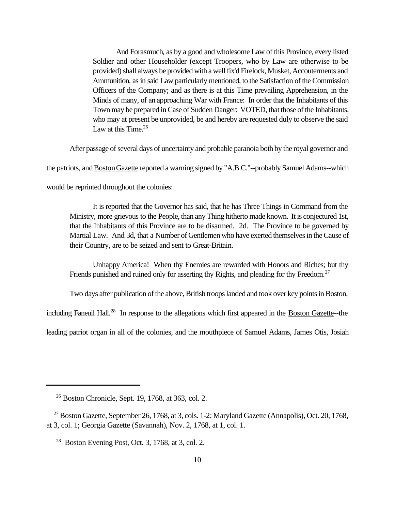And Forasmuch, as by a good and wholesome Law of this Province, every listed Soldier and other Householder (except Troopers, who by Law are otherwise to be provided) shall always be provided with a well fix'd Firelock, Musket, Accouterments and Ammunition, as in said Law particularly mentioned, to the Satisfaction of the Commission Officers of the Company; and as there is at this Time prevailing Apprehension, in the Minds of many, of an approaching War with France: In order that the Inhabitants of this Town may be prepared in Case of Sudden Danger: VOTED, that those of the Inhabitants, who may at present be unprovided, be and hereby are requested duly to observe the said Law at this Time.<sup>26</sup>

After passage of several days of uncertainty and probable paranoia both by the royal governor and

the patriots, and Boston Gazette reported a warning signed by "A.B.C."--probably Samuel Adams--which

would be reprinted throughout the colonies:

It is reported that the Governor has said, that he has Three Things in Command from the Ministry, more grievous to the People, than any Thing hitherto made known. It is conjectured 1st, that the Inhabitants of this Province are to be disarmed. 2d. The Province to be governed by Martial Law. And 3d, that a Number of Gentlemen who have exerted themselves in the Cause of their Country, are to be seized and sent to Great-Britain.

Unhappy America! When thy Enemies are rewarded with Honors and Riches; but thy Friends punished and ruined only for asserting thy Rights, and pleading for thy Freedom.<sup>27</sup>

Two days after publication of the above, British troops landed and took over key points in Boston,

including Faneuil Hall.<sup>28</sup> In response to the allegations which first appeared in the Boston Gazette--the

leading patriot organ in all of the colonies, and the mouthpiece of Samuel Adams, James Otis, Josiah

<sup>26</sup> Boston Chronicle, Sept. 19, 1768, at 363, col. 2.

<sup>&</sup>lt;sup>27</sup> Boston Gazette, September 26, 1768, at 3, cols. 1-2; Maryland Gazette (Annapolis), Oct. 20, 1768, at 3, col. 1; Georgia Gazette (Savannah), Nov. 2, 1768, at 1, col. 1.

 $28$  Boston Evening Post, Oct. 3, 1768, at 3, col. 2.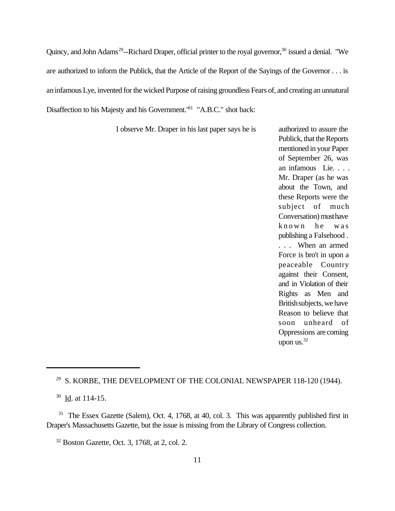Quincy, and John Adams<sup>29</sup>--Richard Draper, official printer to the royal governor,<sup>30</sup> issued a denial. "We are authorized to inform the Publick, that the Article of the Report of the Sayings of the Governor . . . is an infamous Lye, invented for the wicked Purpose of raising groundless Fears of, and creating an unnatural Disaffection to his Majesty and his Government.<sup>'61</sup> "A.B.C." shot back:

I observe Mr. Draper in his last paper says he is authorized to assure the

Publick, that the Reports mentioned in your Paper of September 26, was an infamous Lie. . . . Mr. Draper (as he was about the Town, and these Reports were the subject of much Conversation) must have known he was publishing a Falsehood . . . . When an armed Force is bro't in upon a peaceable Country against their Consent, and in Violation of their Rights as Men and British subjects, we have Reason to believe that soon unheard of Oppressions are coming upon us. $32$ 

 $30 \underline{Id}$ . at 114-15.

 $31$  The Essex Gazette (Salem), Oct. 4, 1768, at 40, col. 3. This was apparently published first in Draper's Massachusetts Gazette, but the issue is missing from the Library of Congress collection.

<sup>32</sup> Boston Gazette, Oct. 3, 1768, at 2, col. 2.

<sup>&</sup>lt;sup>29</sup> S. KORBE, THE DEVELOPMENT OF THE COLONIAL NEWSPAPER 118-120 (1944).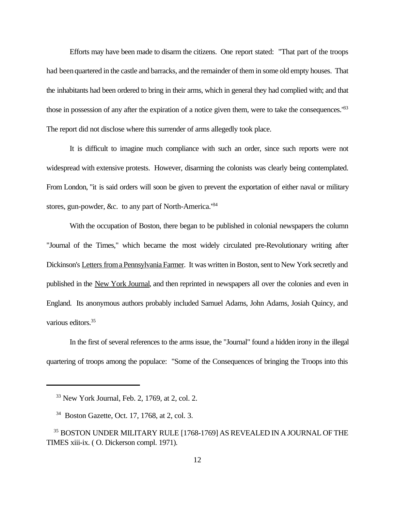Efforts may have been made to disarm the citizens. One report stated: "That part of the troops had been quartered in the castle and barracks, and the remainder of them in some old empty houses. That the inhabitants had been ordered to bring in their arms, which in general they had complied with; and that those in possession of any after the expiration of a notice given them, were to take the consequences.<sup>163</sup> The report did not disclose where this surrender of arms allegedly took place.

It is difficult to imagine much compliance with such an order, since such reports were not widespread with extensive protests. However, disarming the colonists was clearly being contemplated. From London, "it is said orders will soon be given to prevent the exportation of either naval or military stores, gun-powder, &c. to any part of North-America.<sup> $64$ </sup>

With the occupation of Boston, there began to be published in colonial newspapers the column "Journal of the Times," which became the most widely circulated pre-Revolutionary writing after Dickinson's Letters from a Pennsylvania Farmer. It was written in Boston, sent to New York secretly and published in the New York Journal, and then reprinted in newspapers all over the colonies and even in England. Its anonymous authors probably included Samuel Adams, John Adams, Josiah Quincy, and various editors.<sup>35</sup>

In the first of several references to the arms issue, the "Journal" found a hidden irony in the illegal quartering of troops among the populace: "Some of the Consequences of bringing the Troops into this

<sup>33</sup> New York Journal, Feb. 2, 1769, at 2, col. 2.

<sup>34</sup> Boston Gazette, Oct. 17, 1768, at 2, col. 3.

<sup>35</sup> BOSTON UNDER MILITARY RULE [1768-1769] AS REVEALED IN A JOURNAL OF THE TIMES xiii-ix. ( O. Dickerson compl. 1971).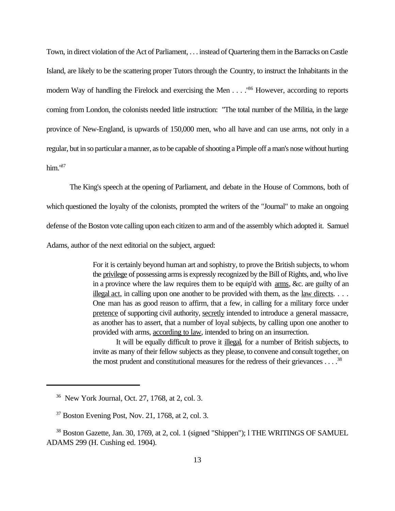Town, in direct violation of the Act of Parliament, . . . instead of Quartering them in the Barracks on Castle Island, are likely to be the scattering proper Tutors through the Country, to instruct the Inhabitants in the modern Way of handling the Firelock and exercising the Men . . . .<sup>166</sup> However, according to reports coming from London, the colonists needed little instruction: "The total number of the Militia, in the large province of New-England, is upwards of 150,000 men, who all have and can use arms, not only in a regular, but in so particular a manner, as to be capable of shooting a Pimple off a man's nose without hurting him. $167$ 

The King's speech at the opening of Parliament, and debate in the House of Commons, both of which questioned the loyalty of the colonists, prompted the writers of the "Journal" to make an ongoing defense of the Boston vote calling upon each citizen to arm and of the assembly which adopted it. Samuel Adams, author of the next editorial on the subject, argued:

> For it is certainly beyond human art and sophistry, to prove the British subjects, to whom the privilege of possessing arms is expressly recognized by the Bill of Rights, and, who live in a province where the law requires them to be equip'd with arms, &c. are guilty of an illegal act, in calling upon one another to be provided with them, as the <u>law directs</u>.  $\ldots$ One man has as good reason to affirm, that a few, in calling for a military force under pretence of supporting civil authority, secretly intended to introduce a general massacre, as another has to assert, that a number of loyal subjects, by calling upon one another to provided with arms, according to law, intended to bring on an insurrection.

> It will be equally difficult to prove it illegal, for a number of British subjects, to invite as many of their fellow subjects as they please, to convene and consult together, on the most prudent and constitutional measures for the redress of their grievances  $\dots$ .<sup>38</sup>

<sup>36</sup> New York Journal, Oct. 27, 1768, at 2, col. 3.

<sup>37</sup> Boston Evening Post, Nov. 21, 1768, at 2, col. 3.

<sup>38</sup> Boston Gazette, Jan. 30, 1769, at 2, col. 1 (signed "Shippen"); l THE WRITINGS OF SAMUEL ADAMS 299 (H. Cushing ed. 1904).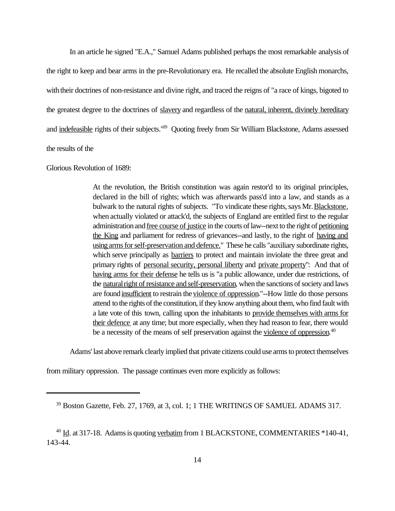In an article he signed "E.A.," Samuel Adams published perhaps the most remarkable analysis of

the right to keep and bear arms in the pre-Revolutionary era. He recalled the absolute English monarchs, with their doctrines of non-resistance and divine right, and traced the reigns of "a race of kings, bigoted to the greatest degree to the doctrines of slavery and regardless of the natural, inherent, divinely hereditary and indefeasible rights of their subjects.<sup>169</sup> Quoting freely from Sir William Blackstone, Adams assessed the results of the

Glorious Revolution of 1689:

At the revolution, the British constitution was again restor'd to its original principles, declared in the bill of rights; which was afterwards pass'd into a law, and stands as a bulwark to the natural rights of subjects. "To vindicate these rights, says Mr. Blackstone, when actually violated or attack'd, the subjects of England are entitled first to the regular administration and free course of justice in the courts of law--next to the right of petitioning the King and parliament for redress of grievances--and lastly, to the right of having and using arms for self-preservation and defence." These he calls "auxiliary subordinate rights, which serve principally as **barriers** to protect and maintain inviolate the three great and primary rights of personal security, personal liberty and private property": And that of having arms for their defense he tells us is "a public allowance, under due restrictions, of the natural right of resistance and self-preservation, when the sanctions of society and laws are found insufficient to restrain the violence of oppression."--How little do those persons attend to the rights of the constitution, if they know anything about them, who find fault with a late vote of this town, calling upon the inhabitants to provide themselves with arms for their defence at any time; but more especially, when they had reason to fear, there would be a necessity of the means of self preservation against the violence of oppression.<sup>40</sup>

Adams' last above remark clearly implied that private citizens could use arms to protect themselves

from military oppression. The passage continues even more explicitly as follows:

<sup>&</sup>lt;sup>39</sup> Boston Gazette, Feb. 27, 1769, at 3, col. 1; 1 THE WRITINGS OF SAMUEL ADAMS 317.

 $^{40}$  Id. at 317-18. Adams is quoting verbatim from 1 BLACKSTONE, COMMENTARIES  $*140-41$ , 143-44.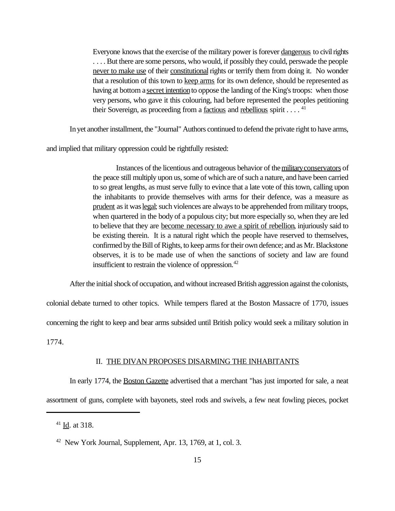Everyone knows that the exercise of the military power is forever dangerous to civil rights ... But there are some persons, who would, if possibly they could, perswade the people never to make use of their constitutional rights or terrify them from doing it. No wonder that a resolution of this town to keep arms for its own defence, should be represented as having at bottom a secret intention to oppose the landing of the King's troops: when those very persons, who gave it this colouring, had before represented the peoples petitioning their Sovereign, as proceeding from a <u>factious</u> and rebellious spirit  $\dots$ .<sup>41</sup>

In yet another installment, the "Journal" Authors continued to defend the private right to have arms,

and implied that military oppression could be rightfully resisted:

Instances of the licentious and outrageous behavior of the military conservators of the peace still multiply upon us, some of which are of such a nature, and have been carried to so great lengths, as must serve fully to evince that a late vote of this town, calling upon the inhabitants to provide themselves with arms for their defence, was a measure as prudent as it was legal; such violences are always to be apprehended from military troops, when quartered in the body of a populous city; but more especially so, when they are led to believe that they are become necessary to awe a spirit of rebellion, injuriously said to be existing therein. It is a natural right which the people have reserved to themselves, confirmed by the Bill of Rights, to keep arms for their own defence; and as Mr. Blackstone observes, it is to be made use of when the sanctions of society and law are found insufficient to restrain the violence of oppression. $42$ 

After the initial shock of occupation, and without increased British aggression against the colonists,

colonial debate turned to other topics. While tempers flared at the Boston Massacre of 1770, issues

concerning the right to keep and bear arms subsided until British policy would seek a military solution in

1774.

#### II. THE DIVAN PROPOSES DISARMING THE INHABITANTS

In early 1774, the **Boston Gazette** advertised that a merchant "has just imported for sale, a neat assortment of guns, complete with bayonets, steel rods and swivels, a few neat fowling pieces, pocket

<sup>41</sup> Id. at 318.

 $42$  New York Journal, Supplement, Apr. 13, 1769, at 1, col. 3.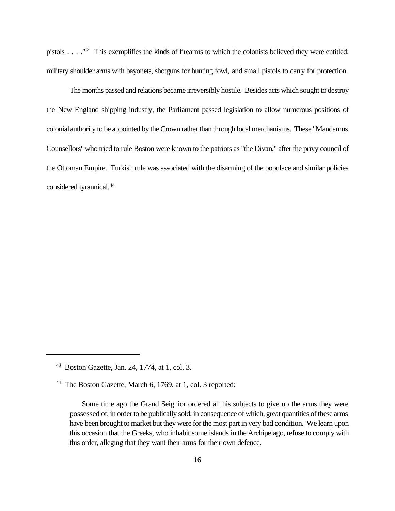pistols . . . ."<sup>43</sup> This exemplifies the kinds of firearms to which the colonists believed they were entitled: military shoulder arms with bayonets, shotguns for hunting fowl, and small pistols to carry for protection.

The months passed and relations became irreversibly hostile. Besides acts which sought to destroy the New England shipping industry, the Parliament passed legislation to allow numerous positions of colonial authority to be appointed by the Crown rather than through local merchanisms. These "Mandamus Counsellors" who tried to rule Boston were known to the patriots as "the Divan," after the privy council of the Ottoman Empire. Turkish rule was associated with the disarming of the populace and similar policies considered tyrannical.<sup>44</sup>

<sup>43</sup> Boston Gazette, Jan. 24, 1774, at 1, col. 3.

<sup>44</sup> The Boston Gazette, March 6, 1769, at 1, col. 3 reported:

Some time ago the Grand Seignior ordered all his subjects to give up the arms they were possessed of, in order to be publically sold; in consequence of which, great quantities of these arms have been brought to market but they were for the most part in very bad condition. We learn upon this occasion that the Greeks, who inhabit some islands in the Archipelago, refuse to comply with this order, alleging that they want their arms for their own defence.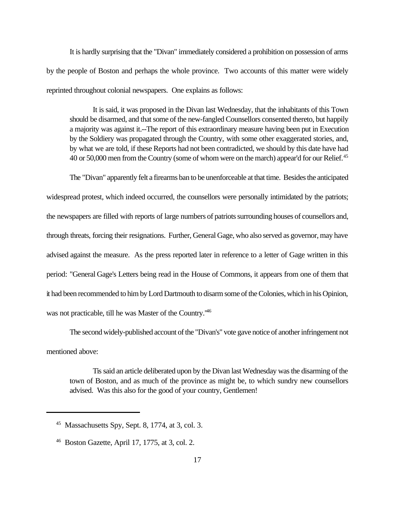It is hardly surprising that the "Divan" immediately considered a prohibition on possession of arms by the people of Boston and perhaps the whole province. Two accounts of this matter were widely reprinted throughout colonial newspapers. One explains as follows:

It is said, it was proposed in the Divan last Wednesday, that the inhabitants of this Town should be disarmed, and that some of the new-fangled Counsellors consented thereto, but happily a majority was against it.--The report of this extraordinary measure having been put in Execution by the Soldiery was propagated through the Country, with some other exaggerated stories, and, by what we are told, if these Reports had not been contradicted, we should by this date have had 40 or 50,000 men from the Country (some of whom were on the march) appear'd for our Relief.<sup>45</sup>

The "Divan" apparently felt a firearms ban to be unenforceable at that time. Besides the anticipated widespread protest, which indeed occurred, the counsellors were personally intimidated by the patriots; the newspapers are filled with reports of large numbers of patriots surrounding houses of counsellors and, through threats, forcing their resignations. Further, General Gage, who also served as governor, may have advised against the measure. As the press reported later in reference to a letter of Gage written in this period: "General Gage's Letters being read in the House of Commons, it appears from one of them that it had been recommended to him by Lord Dartmouth to disarm some of the Colonies, which in his Opinion, was not practicable, till he was Master of the Country."<sup>46</sup>

The second widely-published account of the "Divan's" vote gave notice of another infringement not mentioned above:

Tis said an article deliberated upon by the Divan last Wednesday was the disarming of the town of Boston, and as much of the province as might be, to which sundry new counsellors advised. Was this also for the good of your country, Gentlemen!

 $45$  Massachusetts Spy, Sept. 8, 1774, at 3, col. 3.

<sup>46</sup> Boston Gazette, April 17, 1775, at 3, col. 2.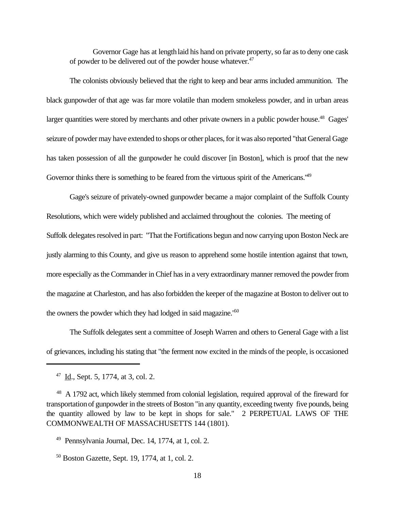Governor Gage has at length laid his hand on private property, so far as to deny one cask of powder to be delivered out of the powder house whatever.<sup>47</sup>

The colonists obviously believed that the right to keep and bear arms included ammunition. The black gunpowder of that age was far more volatile than modern smokeless powder, and in urban areas larger quantities were stored by merchants and other private owners in a public powder house.<sup>48</sup> Gages' seizure of powder may have extended to shops or other places, for it was also reported "that General Gage has taken possession of all the gunpowder he could discover [in Boston], which is proof that the new Governor thinks there is something to be feared from the virtuous spirit of the Americans.<sup>149</sup>

Gage's seizure of privately-owned gunpowder became a major complaint of the Suffolk County Resolutions, which were widely published and acclaimed throughout the colonies. The meeting of Suffolk delegates resolved in part: "That the Fortifications begun and now carrying upon Boston Neck are justly alarming to this County, and give us reason to apprehend some hostile intention against that town, more especially as the Commander in Chief has in a very extraordinary manner removed the powder from the magazine at Charleston, and has also forbidden the keeper of the magazine at Boston to deliver out to the owners the powder which they had lodged in said magazine.<sup>'60</sup>

The Suffolk delegates sent a committee of Joseph Warren and others to General Gage with a list of grievances, including his stating that "the ferment now excited in the minds of the people, is occasioned

 $^{47}$  Id., Sept. 5, 1774, at 3, col. 2.

<sup>&</sup>lt;sup>48</sup> A 1792 act, which likely stemmed from colonial legislation, required approval of the fireward for transportation of gunpowder in the streets of Boston "in any quantity, exceeding twenty five pounds, being the quantity allowed by law to be kept in shops for sale." 2 PERPETUAL LAWS OF THE COMMONWEALTH OF MASSACHUSETTS 144 (1801).

<sup>49</sup> Pennsylvania Journal, Dec. 14, 1774, at 1, col. 2.

<sup>50</sup> Boston Gazette, Sept. 19, 1774, at 1, col. 2.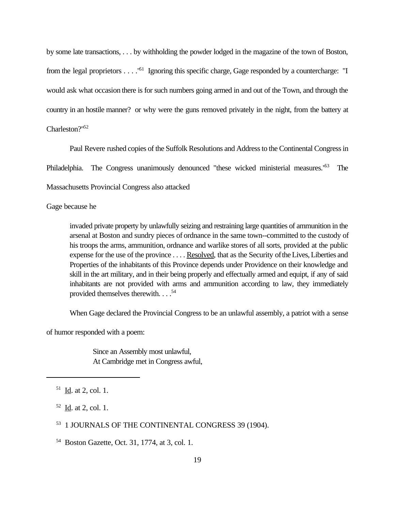by some late transactions, . . . by withholding the powder lodged in the magazine of the town of Boston, from the legal proprietors . . . ."<sup>51</sup> Ignoring this specific charge, Gage responded by a countercharge: "I would ask what occasion there is for such numbers going armed in and out of the Town, and through the country in an hostile manner? or why were the guns removed privately in the night, from the battery at Charleston?"<sup>52</sup>

Paul Revere rushed copies of the Suffolk Resolutions and Address to the Continental Congress in

Philadelphia. The Congress unanimously denounced "these wicked ministerial measures.<sup>'63</sup> The

Massachusetts Provincial Congress also attacked

Gage because he

invaded private property by unlawfully seizing and restraining large quantities of ammunition in the arsenal at Boston and sundry pieces of ordnance in the same town--committed to the custody of his troops the arms, ammunition, ordnance and warlike stores of all sorts, provided at the public expense for the use of the province . . . . <u>Resolved</u>, that as the Security of the Lives, Liberties and Properties of the inhabitants of this Province depends under Providence on their knowledge and skill in the art military, and in their being properly and effectually armed and equipt, if any of said inhabitants are not provided with arms and ammunition according to law, they immediately provided themselves therewith.  $\ldots$ <sup>54</sup>

When Gage declared the Provincial Congress to be an unlawful assembly, a patriot with a sense

of humor responded with a poem:

Since an Assembly most unlawful, At Cambridge met in Congress awful,

 $^{51}$  Id. at 2, col. 1.

 $52 \underline{Id}$ . at 2, col. 1.

<sup>53</sup> 1 JOURNALS OF THE CONTINENTAL CONGRESS 39 (1904).

<sup>54</sup> Boston Gazette, Oct. 31, 1774, at 3, col. 1.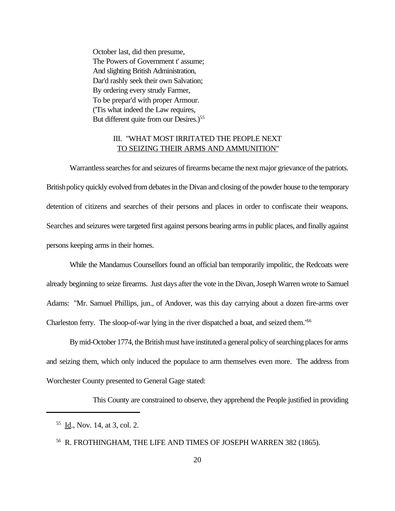October last, did then presume, The Powers of Government t' assume; And slighting British Administration, Dar'd rashly seek their own Salvation; By ordering every strudy Farmer, To be prepar'd with proper Armour. ('Tis what indeed the Law requires, But different quite from our Desires.)<sup>55</sup>

# III. "WHAT MOST IRRITATED THE PEOPLE NEXT TO SEIZING THEIR ARMS AND AMMUNITION"

Warrantless searches for and seizures of firearms became the next major grievance of the patriots. British policy quickly evolved from debates in the Divan and closing of the powder house to the temporary detention of citizens and searches of their persons and places in order to confiscate their weapons. Searches and seizures were targeted first against persons bearing arms in public places, and finally against persons keeping arms in their homes.

While the Mandamus Counsellors found an official ban temporarily impolitic, the Redcoats were already beginning to seize firearms. Just days after the vote in the Divan, Joseph Warren wrote to Samuel Adams: "Mr. Samuel Phillips, jun., of Andover, was this day carrying about a dozen fire-arms over Charleston ferry. The sloop-of-war lying in the river dispatched a boat, and seized them."<sup>56</sup>

By mid-October 1774, the British must have instituted a general policy of searching places for arms and seizing them, which only induced the populace to arm themselves even more. The address from Worchester County presented to General Gage stated:

This County are constrained to observe, they apprehend the People justified in providing

 $^{55}$  <u>Id</u>., Nov. 14, at 3, col. 2.

<sup>56</sup> R. FROTHINGHAM, THE LIFE AND TIMES OF JOSEPH WARREN 382 (1865).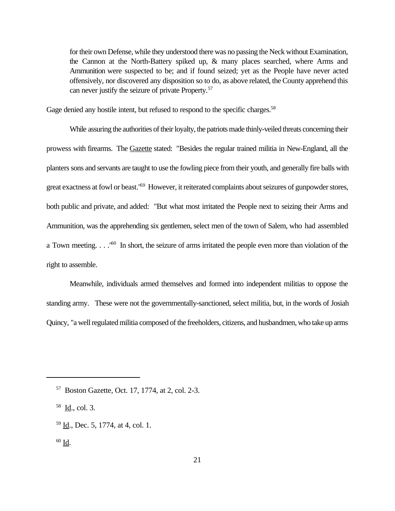for their own Defense, while they understood there was no passing the Neck without Examination, the Cannon at the North-Battery spiked up, & many places searched, where Arms and Ammunition were suspected to be; and if found seized; yet as the People have never acted offensively, nor discovered any disposition so to do, as above related, the County apprehend this can never justify the seizure of private Property.<sup>57</sup>

Gage denied any hostile intent, but refused to respond to the specific charges.<sup>58</sup>

While assuring the authorities of their loyalty, the patriots made thinly-veiled threats concerning their prowess with firearms. The Gazette stated: "Besides the regular trained militia in New-England, all the planters sons and servants are taught to use the fowling piece from their youth, and generally fire balls with great exactness at fowl or beast."<sup>59</sup> However, it reiterated complaints about seizures of gunpowder stores, both public and private, and added: "But what most irritated the People next to seizing their Arms and Ammunition, was the apprehending six gentlemen, select men of the town of Salem, who had assembled a Town meeting. . . ."<sup>60</sup> In short, the seizure of arms irritated the people even more than violation of the right to assemble.

Meanwhile, individuals armed themselves and formed into independent militias to oppose the standing army. These were not the governmentally-sanctioned, select militia, but, in the words of Josiah Quincy, "a well regulated militia composed of the freeholders, citizens, and husbandmen, who take up arms

 $60$  Id.

<sup>57</sup> Boston Gazette, Oct. 17, 1774, at 2, col. 2-3.

 $^{58}$  <u>Id</u>., col. 3.

<sup>59</sup> Id., Dec. 5, 1774, at 4, col. 1.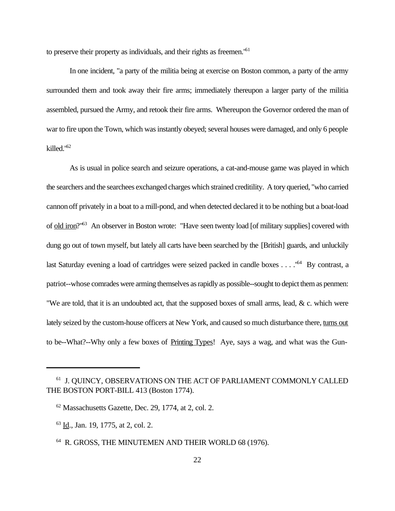to preserve their property as individuals, and their rights as freemen.<sup>'61</sup>

In one incident, "a party of the militia being at exercise on Boston common, a party of the army surrounded them and took away their fire arms; immediately thereupon a larger party of the militia assembled, pursued the Army, and retook their fire arms. Whereupon the Governor ordered the man of war to fire upon the Town, which was instantly obeyed; several houses were damaged, and only 6 people killed."<sup>62</sup>

As is usual in police search and seizure operations, a cat-and-mouse game was played in which the searchers and the searchees exchanged charges which strained creditility. A tory queried, "who carried cannon off privately in a boat to a mill-pond, and when detected declared it to be nothing but a boat-load of old iron?"<sup>63</sup> An observer in Boston wrote: "Have seen twenty load [of military supplies] covered with dung go out of town myself, but lately all carts have been searched by the [British] guards, and unluckily last Saturday evening a load of cartridges were seized packed in candle boxes . . . . "<sup>64</sup> By contrast, a patriot--whose comrades were arming themselves as rapidly as possible--sought to depict them as penmen: "We are told, that it is an undoubted act, that the supposed boxes of small arms, lead, & c. which were lately seized by the custom-house officers at New York, and caused so much disturbance there, turns out to be--What?--Why only a few boxes of Printing Types! Aye, says a wag, and what was the Gun-

<sup>61</sup> J. QUINCY, OBSERVATIONS ON THE ACT OF PARLIAMENT COMMONLY CALLED THE BOSTON PORT-BILL 413 (Boston 1774).

<sup>62</sup> Massachusetts Gazette, Dec. 29, 1774, at 2, col. 2.

<sup>&</sup>lt;sup>63</sup> Id., Jan. 19, 1775, at 2, col. 2.

<sup>64</sup> R. GROSS, THE MINUTEMEN AND THEIR WORLD 68 (1976).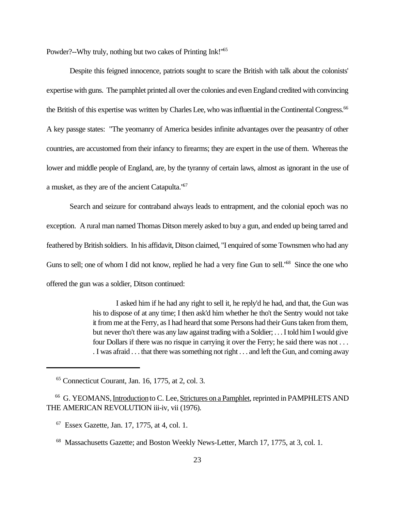Powder?--Why truly, nothing but two cakes of Printing Ink!"<sup>65</sup>

Despite this feigned innocence, patriots sought to scare the British with talk about the colonists' expertise with guns. The pamphlet printed all over the colonies and even England credited with convincing the British of this expertise was written by Charles Lee, who was influential in the Continental Congress.<sup>66</sup> A key passge states: "The yeomanry of America besides infinite advantages over the peasantry of other countries, are accustomed from their infancy to firearms; they are expert in the use of them. Whereas the lower and middle people of England, are, by the tyranny of certain laws, almost as ignorant in the use of a musket, as they are of the ancient Catapulta."<sup>67</sup>

Search and seizure for contraband always leads to entrapment, and the colonial epoch was no exception. A rural man named Thomas Ditson merely asked to buy a gun, and ended up being tarred and feathered by British soldiers. In his affidavit, Ditson claimed, "I enquired of some Townsmen who had any Guns to sell; one of whom I did not know, replied he had a very fine Gun to sell.<sup>168</sup> Since the one who offered the gun was a soldier, Ditson continued:

> I asked him if he had any right to sell it, he reply'd he had, and that, the Gun was his to dispose of at any time; I then ask'd him whether he tho't the Sentry would not take it from me at the Ferry, as I had heard that some Persons had their Guns taken from them, but never tho't there was any law against trading with a Soldier; . . . I told him I would give four Dollars if there was no risque in carrying it over the Ferry; he said there was not . . . . I was afraid . . . that there was something not right . . . and left the Gun, and coming away

 $65$  Connecticut Courant, Jan. 16, 1775, at 2, col. 3.

<sup>&</sup>lt;sup>66</sup> G. YEOMANS, Introduction to C. Lee, Strictures on a Pamphlet, reprinted in PAMPHLETS AND THE AMERICAN REVOLUTION iii-iv, vii (1976).

<sup>67</sup> Essex Gazette, Jan. 17, 1775, at 4, col. 1.

<sup>&</sup>lt;sup>68</sup> Massachusetts Gazette; and Boston Weekly News-Letter, March 17, 1775, at 3, col. 1.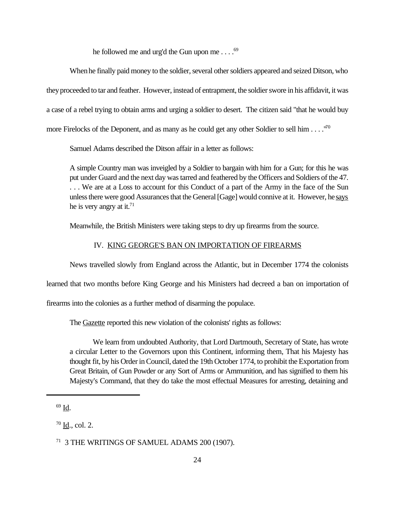he followed me and urg'd the Gun upon me  $\ldots$ .<sup>69</sup>

When he finally paid money to the soldier, several other soldiers appeared and seized Ditson, who they proceeded to tar and feather. However, instead of entrapment, the soldier swore in his affidavit, it was a case of a rebel trying to obtain arms and urging a soldier to desert. The citizen said "that he would buy more Firelocks of the Deponent, and as many as he could get any other Soldier to sell him . . . .<sup>"70</sup>

Samuel Adams described the Ditson affair in a letter as follows:

A simple Country man was inveigled by a Soldier to bargain with him for a Gun; for this he was put under Guard and the next day was tarred and feathered by the Officers and Soldiers of the 47. . . . We are at a Loss to account for this Conduct of a part of the Army in the face of the Sun unless there were good Assurances that the General [Gage] would connive at it. However, he says he is very angry at it.<sup>71</sup>

Meanwhile, the British Ministers were taking steps to dry up firearms from the source.

### IV. KING GEORGE'S BAN ON IMPORTATION OF FIREARMS

News travelled slowly from England across the Atlantic, but in December 1774 the colonists

learned that two months before King George and his Ministers had decreed a ban on importation of

firearms into the colonies as a further method of disarming the populace.

The Gazette reported this new violation of the colonists' rights as follows:

We learn from undoubted Authority, that Lord Dartmouth, Secretary of State, has wrote a circular Letter to the Governors upon this Continent, informing them, That his Majesty has thought fit, by his Order in Council, dated the 19th October 1774, to prohibit the Exportation from Great Britain, of Gun Powder or any Sort of Arms or Ammunition, and has signified to them his Majesty's Command, that they do take the most effectual Measures for arresting, detaining and

<sup>69</sup> Id.

<sup>70</sup> Id., col. 2.

<sup>71</sup> 3 THE WRITINGS OF SAMUEL ADAMS 200 (1907).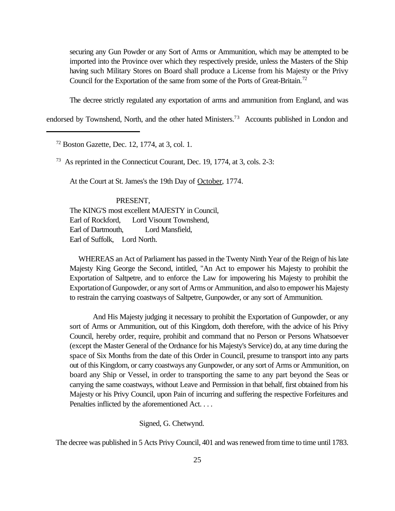securing any Gun Powder or any Sort of Arms or Ammunition, which may be attempted to be imported into the Province over which they respectively preside, unless the Masters of the Ship having such Military Stores on Board shall produce a License from his Majesty or the Privy Council for the Exportation of the same from some of the Ports of Great-Britain.<sup>72</sup>

The decree strictly regulated any exportation of arms and ammunition from England, and was

endorsed by Townshend, North, and the other hated Ministers.<sup>73</sup> Accounts published in London and

 $72$  Boston Gazette, Dec. 12, 1774, at 3, col. 1.

<sup>73</sup> As reprinted in the Connecticut Courant, Dec. 19, 1774, at 3, cols. 2-3:

At the Court at St. James's the 19th Day of October, 1774.

PRESENT,

The KING'S most excellent MAJESTY in Council, Earl of Rockford, Lord Visount Townshend, Earl of Dartmouth, Lord Mansfield, Earl of Suffolk, Lord North.

 WHEREAS an Act of Parliament has passed in the Twenty Ninth Year of the Reign of his late Majesty King George the Second, intitled, "An Act to empower his Majesty to prohibit the Exportation of Saltpetre, and to enforce the Law for impowering his Majesty to prohibit the Exportation of Gunpowder, or any sort of Arms or Ammunition, and also to empower his Majesty to restrain the carrying coastways of Saltpetre, Gunpowder, or any sort of Ammunition.

And His Majesty judging it necessary to prohibit the Exportation of Gunpowder, or any sort of Arms or Ammunition, out of this Kingdom, doth therefore, with the advice of his Privy Council, hereby order, require, prohibit and command that no Person or Persons Whatsoever (except the Master General of the Ordnance for his Majesty's Service) do, at any time during the space of Six Months from the date of this Order in Council, presume to transport into any parts out of this Kingdom, or carry coastways any Gunpowder, or any sort of Arms or Ammunition, on board any Ship or Vessel, in order to transporting the same to any part beyond the Seas or carrying the same coastways, without Leave and Permission in that behalf, first obtained from his Majesty or his Privy Council, upon Pain of incurring and suffering the respective Forfeitures and Penalties inflicted by the aforementioned Act. . . .

Signed, G. Chetwynd.

The decree was published in 5 Acts Privy Council, 401 and was renewed from time to time until 1783.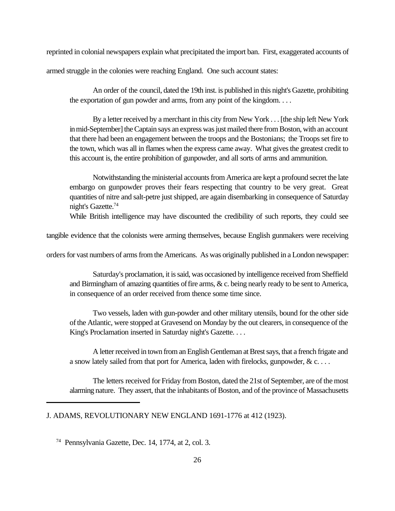reprinted in colonial newspapers explain what precipitated the import ban. First, exaggerated accounts of

armed struggle in the colonies were reaching England. One such account states:

An order of the council, dated the 19th inst. is published in this night's Gazette, prohibiting the exportation of gun powder and arms, from any point of the kingdom. . . .

By a letter received by a merchant in this city from New York . . . [the ship left New York in mid-September] the Captain says an express was just mailed there from Boston, with an account that there had been an engagement between the troops and the Bostonians; the Troops set fire to the town, which was all in flames when the express came away. What gives the greatest credit to this account is, the entire prohibition of gunpowder, and all sorts of arms and ammunition.

Notwithstanding the ministerial accounts from America are kept a profound secret the late embargo on gunpowder proves their fears respecting that country to be very great. Great quantities of nitre and salt-petre just shipped, are again disembarking in consequence of Saturday night's Gazette.<sup>74</sup>

While British intelligence may have discounted the credibility of such reports, they could see

tangible evidence that the colonists were arming themselves, because English gunmakers were receiving

orders for vast numbers of arms from the Americans. As was originally published in a London newspaper:

Saturday's proclamation, it is said, was occasioned by intelligence received from Sheffield and Birmingham of amazing quantities of fire arms, & c. being nearly ready to be sent to America, in consequence of an order received from thence some time since.

Two vessels, laden with gun-powder and other military utensils, bound for the other side of the Atlantic, were stopped at Gravesend on Monday by the out clearers, in consequence of the King's Proclamation inserted in Saturday night's Gazette. . . .

A letter received in town from an English Gentleman at Brest says, that a french frigate and a snow lately sailed from that port for America, laden with firelocks, gunpowder, & c. . . .

The letters received for Friday from Boston, dated the 21st of September, are of the most alarming nature. They assert, that the inhabitants of Boston, and of the province of Massachusetts

### J. ADAMS, REVOLUTIONARY NEW ENGLAND 1691-1776 at 412 (1923).

<sup>74</sup> Pennsylvania Gazette, Dec. 14, 1774, at 2, col. 3.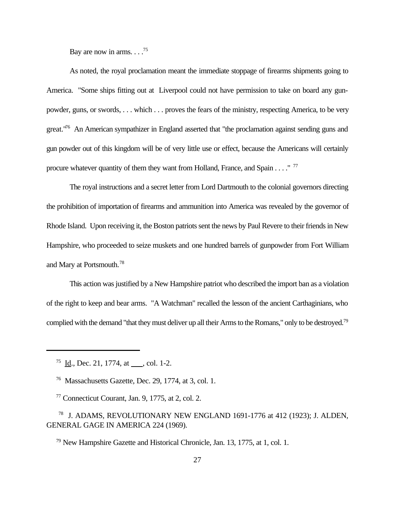Bay are now in arms.  $\ldots$ .<sup>75</sup>

As noted, the royal proclamation meant the immediate stoppage of firearms shipments going to America. "Some ships fitting out at Liverpool could not have permission to take on board any gunpowder, guns, or swords, . . . which . . . proves the fears of the ministry, respecting America, to be very great.<sup>"76</sup> An American sympathizer in England asserted that "the proclamation against sending guns and gun powder out of this kingdom will be of very little use or effect, because the Americans will certainly procure whatever quantity of them they want from Holland, France, and Spain  $\ldots$ ."<sup>77</sup>

The royal instructions and a secret letter from Lord Dartmouth to the colonial governors directing the prohibition of importation of firearms and ammunition into America was revealed by the governor of Rhode Island. Upon receiving it, the Boston patriots sent the news by Paul Revere to their friends in New Hampshire, who proceeded to seize muskets and one hundred barrels of gunpowder from Fort William and Mary at Portsmouth.<sup>78</sup>

This action was justified by a New Hampshire patriot who described the import ban as a violation of the right to keep and bear arms. "A Watchman" recalled the lesson of the ancient Carthaginians, who complied with the demand "that they must deliver up all their Arms to the Romans," only to be destroyed.<sup>79</sup>

<sup>77</sup> Connecticut Courant, Jan. 9, 1775, at 2, col. 2.

<sup>78</sup> J. ADAMS, REVOLUTIONARY NEW ENGLAND 1691-1776 at 412 (1923); J. ALDEN, GENERAL GAGE IN AMERICA 224 (1969).

<sup>79</sup> New Hampshire Gazette and Historical Chronicle, Jan. 13, 1775, at 1, col. 1.

 $\frac{75}{10}$  Id., Dec. 21, 1774, at \_\_\_, col. 1-2.

<sup>76</sup> Massachusetts Gazette, Dec. 29, 1774, at 3, col. 1.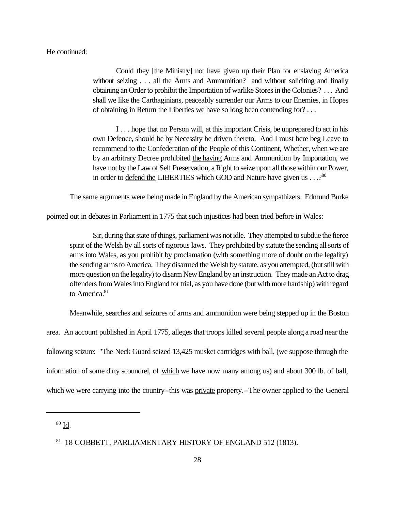### He continued:

Could they [the Ministry] not have given up their Plan for enslaving America without seizing . . . all the Arms and Ammunition? and without soliciting and finally obtaining an Order to prohibit the Importation of warlike Stores in the Colonies? . . . And shall we like the Carthaginians, peaceably surrender our Arms to our Enemies, in Hopes of obtaining in Return the Liberties we have so long been contending for? . . .

I . . . hope that no Person will, at this important Crisis, be unprepared to act in his own Defence, should he by Necessity be driven thereto. And I must here beg Leave to recommend to the Confederation of the People of this Continent, Whether, when we are by an arbitrary Decree prohibited the having Arms and Ammunition by Importation, we have not by the Law of Self Preservation, a Right to seize upon all those within our Power, in order to defend the LIBERTIES which GOD and Nature have given us . . .?<sup>80</sup>

The same arguments were being made in England by the American sympathizers. Edmund Burke

pointed out in debates in Parliament in 1775 that such injustices had been tried before in Wales:

Sir, during that state of things, parliament was not idle. They attempted to subdue the fierce spirit of the Welsh by all sorts of rigorous laws. They prohibited by statute the sending all sorts of arms into Wales, as you prohibit by proclamation (with something more of doubt on the legality) the sending arms to America. They disarmed the Welsh by statute, as you attempted, (but still with more question on the legality) to disarm New England by an instruction. They made an Act to drag offenders from Wales into England for trial, as you have done (but with more hardship) with regard to America.<sup>81</sup>

Meanwhile, searches and seizures of arms and ammunition were being stepped up in the Boston

area. An account published in April 1775, alleges that troops killed several people along a road near the following seizure: "The Neck Guard seized 13,425 musket cartridges with ball, (we suppose through the information of some dirty scoundrel, of which we have now many among us) and about 300 lb. of ball, which we were carrying into the country--this was private property.--The owner applied to the General

<sup>80</sup> Id.

<sup>81</sup> 18 COBBETT, PARLIAMENTARY HISTORY OF ENGLAND 512 (1813).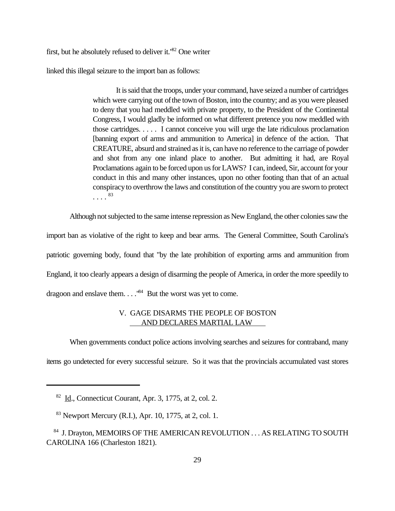first, but he absolutely refused to deliver it."<sup>82</sup> One writer

linked this illegal seizure to the import ban as follows:

It is said that the troops, under your command, have seized a number of cartridges which were carrying out of the town of Boston, into the country; and as you were pleased to deny that you had meddled with private property, to the President of the Continental Congress, I would gladly be informed on what different pretence you now meddled with those cartridges. . . . . I cannot conceive you will urge the late ridiculous proclamation [banning export of arms and ammunition to America] in defence of the action. That CREATURE, absurd and strained as it is, can have no reference to the carriage of powder and shot from any one inland place to another. But admitting it had, are Royal Proclamations again to be forced upon us for LAWS? I can, indeed, Sir, account for your conduct in this and many other instances, upon no other footing than that of an actual conspiracy to overthrow the laws and constitution of the country you are sworn to protect . . . . 83

Although not subjected to the same intense repression as New England, the other colonies saw the import ban as violative of the right to keep and bear arms. The General Committee, South Carolina's patriotic governing body, found that "by the late prohibition of exporting arms and ammunition from England, it too clearly appears a design of disarming the people of America, in order the more speedily to dragoon and enslave them. . . . "<sup>84</sup> But the worst was yet to come.

# V. GAGE DISARMS THE PEOPLE OF BOSTON AND DECLARES MARTIAL LAW

When governments conduct police actions involving searches and seizures for contraband, many items go undetected for every successful seizure. So it was that the provincials accumulated vast stores

 $82$  Id., Connecticut Courant, Apr. 3, 1775, at 2, col. 2.

<sup>83</sup> Newport Mercury (R.I.), Apr. 10, 1775, at 2, col. 1.

<sup>&</sup>lt;sup>84</sup> J. Drayton, MEMOIRS OF THE AMERICAN REVOLUTION . . . AS RELATING TO SOUTH CAROLINA 166 (Charleston 1821).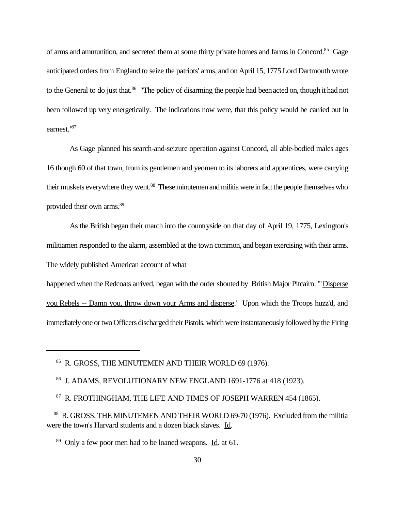of arms and ammunition, and secreted them at some thirty private homes and farms in Concord.<sup>85</sup> Gage anticipated orders from England to seize the patriots' arms, and on April 15, 1775 Lord Dartmouth wrote to the General to do just that.<sup>86</sup> "The policy of disarming the people had been acted on, though it had not been followed up very energetically. The indications now were, that this policy would be carried out in earnest."<sup>87</sup>

As Gage planned his search-and-seizure operation against Concord, all able-bodied males ages 16 though 60 of that town, from its gentlemen and yeomen to its laborers and apprentices, were carrying their muskets everywhere they went.<sup>88</sup> These minutemen and militia were in fact the people themselves who provided their own arms.<sup>89</sup>

As the British began their march into the countryside on that day of April 19, 1775, Lexington's militiamen responded to the alarm, assembled at the town common, and began exercising with their arms. The widely published American account of what

happened when the Redcoats arrived, began with the order shouted by British Major Pitcairn: "'Disperse you Rebels -- Damn you, throw down your Arms and disperse.' Upon which the Troops huzz'd, and immediately one or two Officers discharged their Pistols, which were instantaneously followed by the Firing

<sup>85</sup> R. GROSS, THE MINUTEMEN AND THEIR WORLD 69 (1976).

<sup>86</sup> J. ADAMS, REVOLUTIONARY NEW ENGLAND 1691-1776 at 418 (1923).

<sup>87</sup> R. FROTHINGHAM, THE LIFE AND TIMES OF JOSEPH WARREN 454 (1865).

<sup>88</sup> R. GROSS, THE MINUTEMEN AND THEIR WORLD 69-70 (1976). Excluded from the militia were the town's Harvard students and a dozen black slaves. Id.

<sup>89</sup> Only a few poor men had to be loaned weapons. Id. at 61.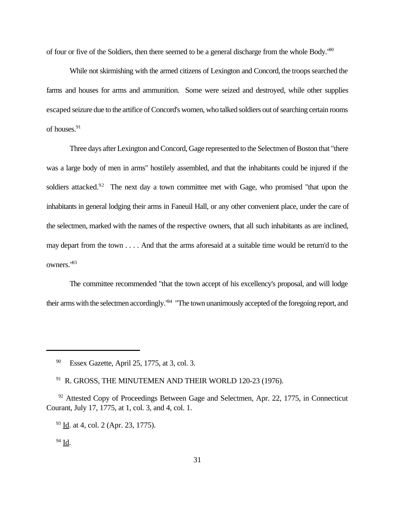of four or five of the Soldiers, then there seemed to be a general discharge from the whole Body."<sup>90</sup>

While not skirmishing with the armed citizens of Lexington and Concord, the troops searched the farms and houses for arms and ammunition. Some were seized and destroyed, while other supplies escaped seizure due to the artifice of Concord's women, who talked soldiers out of searching certain rooms of houses.<sup>91</sup>

Three days after Lexington and Concord, Gage represented to the Selectmen of Boston that "there was a large body of men in arms" hostilely assembled, and that the inhabitants could be injured if the soldiers attacked.<sup>92</sup> The next day a town committee met with Gage, who promised "that upon the inhabitants in general lodging their arms in Faneuil Hall, or any other convenient place, under the care of the selectmen, marked with the names of the respective owners, that all such inhabitants as are inclined, may depart from the town . . . . And that the arms aforesaid at a suitable time would be return'd to the owners."<sup>93</sup>

The committee recommended "that the town accept of his excellency's proposal, and will lodge their arms with the selectmen accordingly."94 "The town unanimously accepted of the foregoing report, and

 $92$  Attested Copy of Proceedings Between Gage and Selectmen, Apr. 22, 1775, in Connecticut Courant, July 17, 1775, at 1, col. 3, and 4, col. 1.

<sup>94</sup> Id.

<sup>90</sup> Essex Gazette, April 25, 1775, at 3, col. 3.

<sup>&</sup>lt;sup>91</sup> R. GROSS, THE MINUTEMEN AND THEIR WORLD 120-23 (1976).

<sup>93</sup> Id. at 4, col. 2 (Apr. 23, 1775).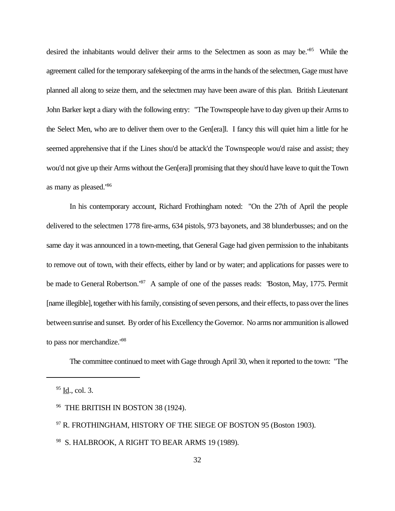desired the inhabitants would deliver their arms to the Selectmen as soon as may be.<sup>195</sup> While the agreement called for the temporary safekeeping of the arms in the hands of the selectmen, Gage must have planned all along to seize them, and the selectmen may have been aware of this plan. British Lieutenant John Barker kept a diary with the following entry: "The Townspeople have to day given up their Arms to the Select Men, who are to deliver them over to the Gen[era]l. I fancy this will quiet him a little for he seemed apprehensive that if the Lines shou'd be attack'd the Townspeople wou'd raise and assist; they wou'd not give up their Arms without the Gen[era]l promising that they shou'd have leave to quit the Town as many as pleased."<sup>96</sup>

In his contemporary account, Richard Frothingham noted: "On the 27th of April the people delivered to the selectmen 1778 fire-arms, 634 pistols, 973 bayonets, and 38 blunderbusses; and on the same day it was announced in a town-meeting, that General Gage had given permission to the inhabitants to remove out of town, with their effects, either by land or by water; and applications for passes were to be made to General Robertson."<sup>97</sup> A sample of one of the passes reads: "Boston, May, 1775. Permit [name illegible], together with his family, consisting of seven persons, and their effects, to pass over the lines between sunrise and sunset. By order of his Excellency the Governor. No arms nor ammunition is allowed to pass nor merchandize."<sup>98</sup>

The committee continued to meet with Gage through April 30, when it reported to the town: "The

 $95$  Id., col. 3.

<sup>&</sup>lt;sup>96</sup> THE BRITISH IN BOSTON 38 (1924).

<sup>&</sup>lt;sup>97</sup> R. FROTHINGHAM, HISTORY OF THE SIEGE OF BOSTON 95 (Boston 1903).

<sup>98</sup> S. HALBROOK, A RIGHT TO BEAR ARMS 19 (1989).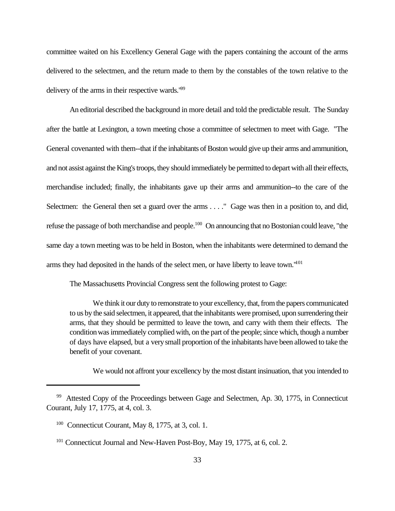committee waited on his Excellency General Gage with the papers containing the account of the arms delivered to the selectmen, and the return made to them by the constables of the town relative to the delivery of the arms in their respective wards.<sup>199</sup>

An editorial described the background in more detail and told the predictable result. The Sunday after the battle at Lexington, a town meeting chose a committee of selectmen to meet with Gage. "The General covenanted with them--that if the inhabitants of Boston would give up their arms and ammunition, and not assist against the King's troops, they should immediately be permitted to depart with all their effects, merchandise included; finally, the inhabitants gave up their arms and ammunition--to the care of the Selectmen: the General then set a guard over the arms . . . . " Gage was then in a position to, and did, refuse the passage of both merchandise and people.<sup>100</sup> On announcing that no Bostonian could leave, "the same day a town meeting was to be held in Boston, when the inhabitants were determined to demand the arms they had deposited in the hands of the select men, or have liberty to leave town."<sup>101</sup>

The Massachusetts Provincial Congress sent the following protest to Gage:

We think it our duty to remonstrate to your excellency, that, from the papers communicated to us by the said selectmen, it appeared, that the inhabitants were promised, upon surrendering their arms, that they should be permitted to leave the town, and carry with them their effects. The condition was immediately complied with, on the part of the people; since which, though a number of days have elapsed, but a very small proportion of the inhabitants have been allowed to take the benefit of your covenant.

We would not affront your excellency by the most distant insinuation, that you intended to

<sup>99</sup> Attested Copy of the Proceedings between Gage and Selectmen, Ap. 30, 1775, in Connecticut Courant, July 17, 1775, at 4, col. 3.

<sup>100</sup> Connecticut Courant, May 8, 1775, at 3, col. 1.

<sup>&</sup>lt;sup>101</sup> Connecticut Journal and New-Haven Post-Boy, May 19, 1775, at 6, col. 2.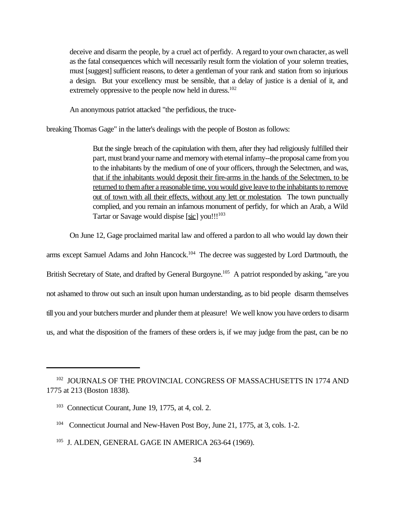deceive and disarm the people, by a cruel act of perfidy. A regard to your own character, as well as the fatal consequences which will necessarily result form the violation of your solemn treaties, must [suggest] sufficient reasons, to deter a gentleman of your rank and station from so injurious a design. But your excellency must be sensible, that a delay of justice is a denial of it, and extremely oppressive to the people now held in duress.<sup>102</sup>

An anonymous patriot attacked "the perfidious, the truce-

breaking Thomas Gage" in the latter's dealings with the people of Boston as follows:

But the single breach of the capitulation with them, after they had religiously fulfilled their part, must brand your name and memory with eternal infamy--the proposal came from you to the inhabitants by the medium of one of your officers, through the Selectmen, and was, that if the inhabitants would deposit their fire-arms in the hands of the Selectmen, to be returned to them after a reasonable time, you would give leave to the inhabitants to remove out of town with all their effects, without any lett or molestation. The town punctually complied, and you remain an infamous monument of perfidy, for which an Arab, a Wild Tartar or Savage would dispise [sic] you!!!<sup>103</sup>

On June 12, Gage proclaimed marital law and offered a pardon to all who would lay down their

arms except Samuel Adams and John Hancock.<sup>104</sup> The decree was suggested by Lord Dartmouth, the British Secretary of State, and drafted by General Burgoyne.<sup>105</sup> A patriot responded by asking, "are you not ashamed to throw out such an insult upon human understanding, as to bid people disarm themselves till you and your butchers murder and plunder them at pleasure! We well know you have orders to disarm us, and what the disposition of the framers of these orders is, if we may judge from the past, can be no

<sup>&</sup>lt;sup>102</sup> JOURNALS OF THE PROVINCIAL CONGRESS OF MASSACHUSETTS IN 1774 AND 1775 at 213 (Boston 1838).

<sup>103</sup> Connecticut Courant, June 19, 1775, at 4, col. 2.

<sup>&</sup>lt;sup>104</sup> Connecticut Journal and New-Haven Post Boy, June 21, 1775, at 3, cols. 1-2.

<sup>105</sup> J. ALDEN, GENERAL GAGE IN AMERICA 263-64 (1969).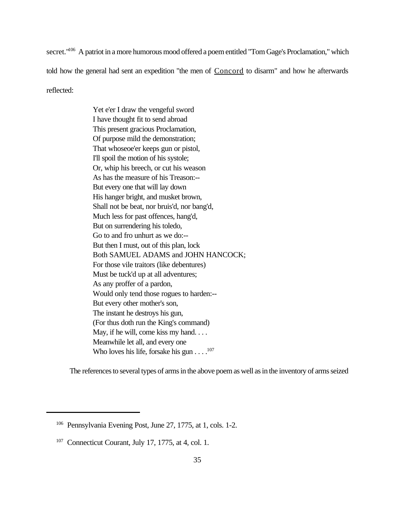secret."<sup>106</sup> A patriot in a more humorous mood offered a poem entitled "Tom Gage's Proclamation," which told how the general had sent an expedition "the men of Concord to disarm" and how he afterwards reflected:

> Yet e'er I draw the vengeful sword I have thought fit to send abroad This present gracious Proclamation, Of purpose mild the demonstration; That whoseoe'er keeps gun or pistol, I'll spoil the motion of his systole; Or, whip his breech, or cut his weason As has the measure of his Treason:-- But every one that will lay down His hanger bright, and musket brown, Shall not be beat, nor bruis'd, nor bang'd, Much less for past offences, hang'd, But on surrendering his toledo, Go to and fro unhurt as we do:-- But then I must, out of this plan, lock Both SAMUEL ADAMS and JOHN HANCOCK; For those vile traitors (like debentures) Must be tuck'd up at all adventures; As any proffer of a pardon, Would only tend those rogues to harden:-- But every other mother's son, The instant he destroys his gun, (For thus doth run the King's command) May, if he will, come kiss my hand.... Meanwhile let all, and every one Who loves his life, for sake his gun  $\dots$ .<sup>107</sup>

The references to several types of arms in the above poem as well as in the inventory of arms seized

<sup>106</sup> Pennsylvania Evening Post, June 27, 1775, at 1, cols. 1-2.

 $107$  Connecticut Courant, July 17, 1775, at 4, col. 1.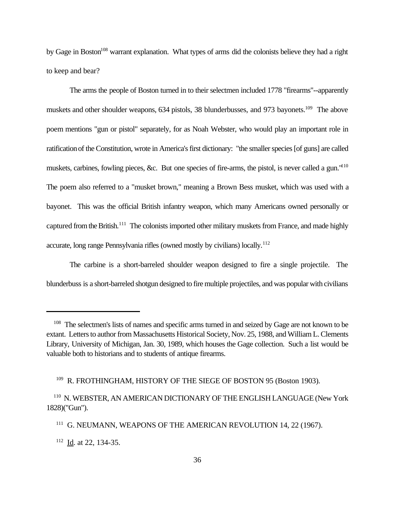by Gage in Boston<sup>108</sup> warrant explanation. What types of arms did the colonists believe they had a right to keep and bear?

The arms the people of Boston turned in to their selectmen included 1778 "firearms"--apparently muskets and other shoulder weapons, 634 pistols, 38 blunderbusses, and 973 bayonets.<sup>109</sup> The above poem mentions "gun or pistol" separately, for as Noah Webster, who would play an important role in ratification of the Constitution, wrote in America's first dictionary: "the smaller species [of guns] are called muskets, carbines, fowling pieces, &c. But one species of fire-arms, the pistol, is never called a gun."<sup>110</sup> The poem also referred to a "musket brown," meaning a Brown Bess musket, which was used with a bayonet. This was the official British infantry weapon, which many Americans owned personally or captured from the British.<sup>111</sup> The colonists imported other military muskets from France, and made highly accurate, long range Pennsylvania rifles (owned mostly by civilians) locally.<sup>112</sup>

The carbine is a short-barreled shoulder weapon designed to fire a single projectile. The blunderbuss is a short-barreled shotgun designed to fire multiple projectiles, and was popular with civilians

<sup>&</sup>lt;sup>108</sup> The selectmen's lists of names and specific arms turned in and seized by Gage are not known to be extant. Letters to author from Massachusetts Historical Society, Nov. 25, 1988, and William L. Clements Library, University of Michigan, Jan. 30, 1989, which houses the Gage collection. Such a list would be valuable both to historians and to students of antique firearms.

<sup>&</sup>lt;sup>109</sup> R. FROTHINGHAM, HISTORY OF THE SIEGE OF BOSTON 95 (Boston 1903).

<sup>110</sup> N. WEBSTER, AN AMERICAN DICTIONARY OF THE ENGLISH LANGUAGE (New York 1828)("Gun").

<sup>&</sup>lt;sup>111</sup> G. NEUMANN, WEAPONS OF THE AMERICAN REVOLUTION 14, 22 (1967).

 $112$  Id. at 22, 134-35.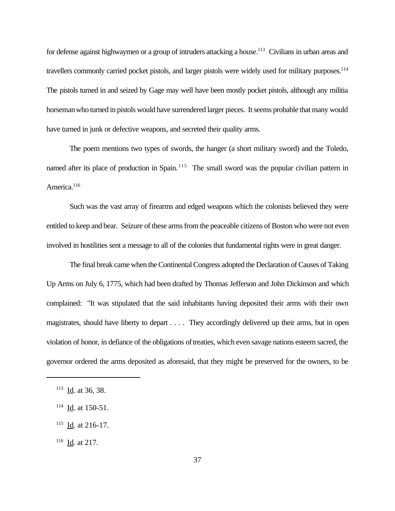for defense against highwaymen or a group of intruders attacking a house.<sup>113</sup> Civilians in urban areas and travellers commonly carried pocket pistols, and larger pistols were widely used for military purposes.<sup>114</sup> The pistols turned in and seized by Gage may well have been mostly pocket pistols, although any militia horseman who turned in pistols would have surrendered larger pieces. It seems probable that many would have turned in junk or defective weapons, and secreted their quality arms.

The poem mentions two types of swords, the hanger (a short military sword) and the Toledo, named after its place of production in Spain.<sup>115</sup> The small sword was the popular civilian pattern in America.<sup>116</sup>

Such was the vast array of firearms and edged weapons which the colonists believed they were entitled to keep and bear. Seizure of these arms from the peaceable citizens of Boston who were not even involved in hostilities sent a message to all of the colonies that fundamental rights were in great danger.

The final break came when the Continental Congress adopted the Declaration of Causes of Taking Up Arms on July 6, 1775, which had been drafted by Thomas Jefferson and John Dickinson and which complained: "It was stipulated that the said inhabitants having deposited their arms with their own magistrates, should have liberty to depart . . . . They accordingly delivered up their arms, but in open violation of honor, in defiance of the obligations of treaties, which even savage nations esteem sacred, the governor ordered the arms deposited as aforesaid, that they might be preserved for the owners, to be

 $\frac{115}{10}$ . at 216-17.

 $\frac{113}{10}$ . at 36, 38.

 $114$  <u>Id</u>. at 150-51.

 $116$  <u>Id</u>. at 217.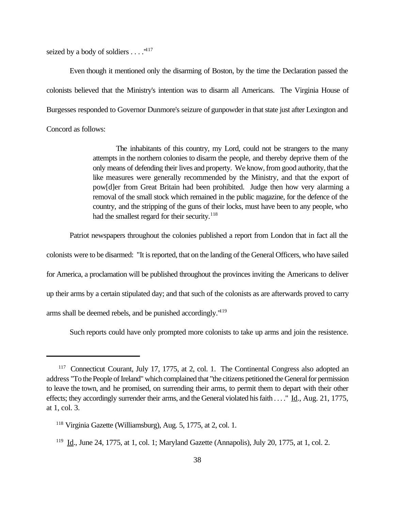seized by a body of soldiers  $\dots$ ."<sup>117</sup>

Even though it mentioned only the disarming of Boston, by the time the Declaration passed the colonists believed that the Ministry's intention was to disarm all Americans. The Virginia House of Burgesses responded to Governor Dunmore's seizure of gunpowder in that state just after Lexington and Concord as follows:

> The inhabitants of this country, my Lord, could not be strangers to the many attempts in the northern colonies to disarm the people, and thereby deprive them of the only means of defending their lives and property. We know, from good authority, that the like measures were generally recommended by the Ministry, and that the export of pow[d]er from Great Britain had been prohibited. Judge then how very alarming a removal of the small stock which remained in the public magazine, for the defence of the country, and the stripping of the guns of their locks, must have been to any people, who had the smallest regard for their security.<sup>118</sup>

Patriot newspapers throughout the colonies published a report from London that in fact all the

colonists were to be disarmed: "It is reported, that on the landing of the General Officers, who have sailed

for America, a proclamation will be published throughout the provinces inviting the Americans to deliver

up their arms by a certain stipulated day; and that such of the colonists as are afterwards proved to carry

arms shall be deemed rebels, and be punished accordingly."<sup>119</sup>

Such reports could have only prompted more colonists to take up arms and join the resistence.

<sup>&</sup>lt;sup>117</sup> Connecticut Courant, July 17, 1775, at 2, col. 1. The Continental Congress also adopted an address "To the People of Ireland" which complained that "the citizens petitioned the General for permission to leave the town, and he promised, on surrending their arms, to permit them to depart with their other effects; they accordingly surrender their arms, and the General violated his faith . . . ." Id., Aug. 21, 1775, at 1, col. 3.

<sup>118</sup> Virginia Gazette (Williamsburg), Aug. 5, 1775, at 2, col. 1.

 $119$  Id., June 24, 1775, at 1, col. 1; Maryland Gazette (Annapolis), July 20, 1775, at 1, col. 2.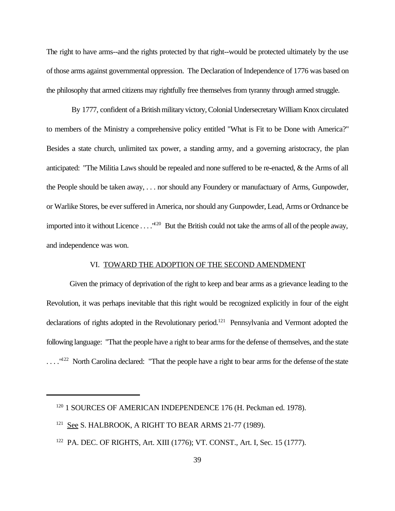The right to have arms--and the rights protected by that right--would be protected ultimately by the use of those arms against governmental oppression. The Declaration of Independence of 1776 was based on the philosophy that armed citizens may rightfully free themselves from tyranny through armed struggle.

 By 1777, confident of a British military victory, Colonial Undersecretary William Knox circulated to members of the Ministry a comprehensive policy entitled "What is Fit to be Done with America?" Besides a state church, unlimited tax power, a standing army, and a governing aristocracy, the plan anticipated: "The Militia Laws should be repealed and none suffered to be re-enacted, & the Arms of all the People should be taken away, . . . nor should any Foundery or manufactuary of Arms, Gunpowder, or Warlike Stores, be ever suffered in America, nor should any Gunpowder, Lead, Arms or Ordnance be imported into it without Licence . . . ."<sup>120</sup> But the British could not take the arms of all of the people away, and independence was won.

#### VI. TOWARD THE ADOPTION OF THE SECOND AMENDMENT

Given the primacy of deprivation of the right to keep and bear arms as a grievance leading to the Revolution, it was perhaps inevitable that this right would be recognized explicitly in four of the eight declarations of rights adopted in the Revolutionary period.<sup>121</sup> Pennsylvania and Vermont adopted the following language: "That the people have a right to bear arms for the defense of themselves, and the state ...."<sup>122</sup> North Carolina declared: "That the people have a right to bear arms for the defense of the state

<sup>122</sup> PA. DEC. OF RIGHTS, Art. XIII (1776); VT. CONST., Art. I, Sec. 15 (1777).

<sup>&</sup>lt;sup>120</sup> 1 SOURCES OF AMERICAN INDEPENDENCE 176 (H. Peckman ed. 1978).

<sup>&</sup>lt;sup>121</sup> See S. HALBROOK, A RIGHT TO BEAR ARMS 21-77 (1989).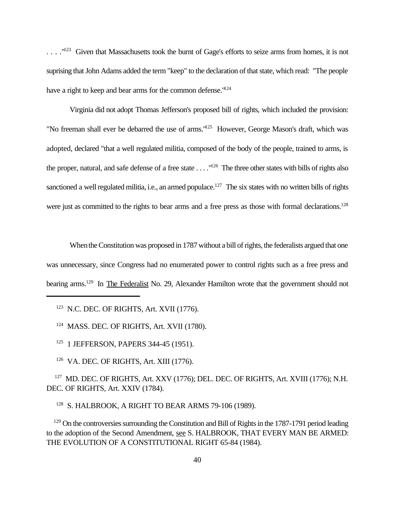. . . . "<sup>123</sup> Given that Massachusetts took the burnt of Gage's efforts to seize arms from homes, it is not suprising that John Adams added the term "keep" to the declaration of that state, which read: "The people have a right to keep and bear arms for the common defense."<sup>124</sup>

Virginia did not adopt Thomas Jefferson's proposed bill of rights, which included the provision: "No freeman shall ever be debarred the use of arms."<sup>125</sup> However, George Mason's draft, which was adopted, declared "that a well regulated militia, composed of the body of the people, trained to arms, is the proper, natural, and safe defense of a free state  $\dots$ ."<sup>126</sup> The three other states with bills of rights also sanctioned a well regulated militia, i.e., an armed populace.<sup>127</sup> The six states with no written bills of rights were just as committed to the rights to bear arms and a free press as those with formal declarations.<sup>128</sup>

When the Constitution was proposed in 1787 without a bill of rights, the federalists argued that one was unnecessary, since Congress had no enumerated power to control rights such as a free press and bearing arms.<sup>129</sup> In The Federalist No. 29, Alexander Hamilton wrote that the government should not

<sup>123</sup> N.C. DEC. OF RIGHTS, Art. XVII (1776).

<sup>124</sup> MASS. DEC. OF RIGHTS, Art. XVII (1780).

<sup>125</sup> 1 JEFFERSON, PAPERS 344-45 (1951).

<sup>126</sup> VA. DEC. OF RIGHTS, Art. XIII (1776).

<sup>127</sup> MD. DEC. OF RIGHTS, Art. XXV (1776); DEL. DEC. OF RIGHTS, Art. XVIII (1776); N.H. DEC. OF RIGHTS, Art. XXIV (1784).

<sup>128</sup> S. HALBROOK, A RIGHT TO BEAR ARMS 79-106 (1989).

<sup>129</sup> On the controversies surrounding the Constitution and Bill of Rights in the 1787-1791 period leading to the adoption of the Second Amendment, see S. HALBROOK, THAT EVERY MAN BE ARMED: THE EVOLUTION OF A CONSTITUTIONAL RIGHT 65-84 (1984).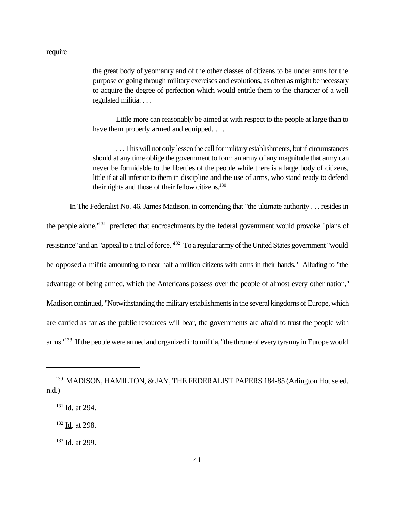#### require

the great body of yeomanry and of the other classes of citizens to be under arms for the purpose of going through military exercises and evolutions, as often as might be necessary to acquire the degree of perfection which would entitle them to the character of a well regulated militia. . . .

Little more can reasonably be aimed at with respect to the people at large than to have them properly armed and equipped. . . .

. . . This will not only lessen the call for military establishments, but if circumstances should at any time oblige the government to form an army of any magnitude that army can never be formidable to the liberties of the people while there is a large body of citizens, little if at all inferior to them in discipline and the use of arms, who stand ready to defend their rights and those of their fellow citizens.<sup>130</sup>

In The Federalist No. 46, James Madison, in contending that "the ultimate authority . . . resides in the people alone,"<sup>131</sup> predicted that encroachments by the federal government would provoke "plans of resistance" and an "appeal to a trial of force."<sup>132</sup> To a regular army of the United States government "would be opposed a militia amounting to near half a million citizens with arms in their hands." Alluding to "the advantage of being armed, which the Americans possess over the people of almost every other nation," Madison continued, "Notwithstanding the military establishments in the several kingdoms of Europe, which are carried as far as the public resources will bear, the governments are afraid to trust the people with arms."133 If the people were armed and organized into militia, "the throne of every tyranny in Europe would

<sup>132</sup> Id. at 298.

<sup>&</sup>lt;sup>130</sup> MADISON, HAMILTON, & JAY, THE FEDERALIST PAPERS 184-85 (Arlington House ed. n.d.)

<sup>&</sup>lt;sup>131</sup> Id. at 294.

<sup>133</sup> Id. at 299.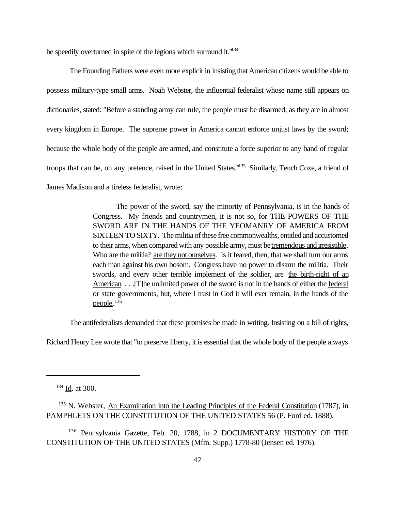be speedily overturned in spite of the legions which surround it."<sup>134</sup>

The Founding Fathers were even more explicit in insisting that American citizens would be able to possess military-type small arms. Noah Webster, the influential federalist whose name still appears on dictionaries, stated: "Before a standing army can rule, the people must be disarmed; as they are in almost every kingdom in Europe. The supreme power in America cannot enforce unjust laws by the sword; because the whole body of the people are armed, and constitute a force superior to any band of regular troops that can be, on any pretence, raised in the United States."<sup>135</sup> Similarly, Tench Coxe, a friend of James Madison and a tireless federalist, wrote:

> The power of the sword, say the minority of Pennsylvania, is in the hands of Congress. My friends and countrymen, it is not so, for THE POWERS OF THE SWORD ARE IN THE HANDS OF THE YEOMANRY OF AMERICA FROM SIXTEEN TO SIXTY. The militia of these free commonwealths, entitled and accustomed to their arms, when compared with any possible army, must be tremendous and irresistible. Who are the militia? are they not ourselves. Is it feared, then, that we shall turn our arms each man against his own bosom. Congress have no power to disarm the militia. Their swords, and every other terrible implement of the soldier, are the birth-right of an American. . . .[T]he unlimited power of the sword is not in the hands of either the federal or state governments, but, where I trust in God it will ever remain, in the hands of the people. 136

The antifederalists demanded that these promises be made in writing. Insisting on a bill of rights,

Richard Henry Lee wrote that "to preserve liberty, it is essential that the whole body of the people always

<sup>134</sup> Id. at 300.

<sup>&</sup>lt;sup>135</sup> N. Webster, An Examination into the Leading Principles of the Federal Constitution (1787), in PAMPHLETS ON THE CONSTITUTION OF THE UNITED STATES 56 (P. Ford ed. 1888).

<sup>&</sup>lt;sup>136</sup> Pennsylvania Gazette, Feb. 20, 1788, in 2 DOCUMENTARY HISTORY OF THE CONSTITUTION OF THE UNITED STATES (Mfm. Supp.) 1778-80 (Jensen ed. 1976).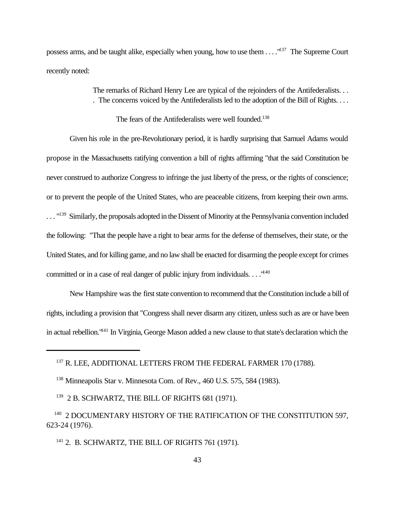possess arms, and be taught alike, especially when young, how to use them . . . ."<sup>137</sup> The Supreme Court recently noted:

> The remarks of Richard Henry Lee are typical of the rejoinders of the Antifederalists. . . . The concerns voiced by the Antifederalists led to the adoption of the Bill of Rights. . . .

## The fears of the Antifederalists were well founded.<sup>138</sup>

Given his role in the pre-Revolutionary period, it is hardly surprising that Samuel Adams would propose in the Massachusetts ratifying convention a bill of rights affirming "that the said Constitution be never construed to authorize Congress to infringe the just liberty of the press, or the rights of conscience; or to prevent the people of the United States, who are peaceable citizens, from keeping their own arms. ... "<sup>139</sup> Similarly, the proposals adopted in the Dissent of Minority at the Pennsylvania convention included the following: "That the people have a right to bear arms for the defense of themselves, their state, or the United States, and for killing game, and no law shall be enacted for disarming the people except for crimes committed or in a case of real danger of public injury from individuals.  $\dots$ <sup>"40</sup>

New Hampshire was the first state convention to recommend that the Constitution include a bill of rights, including a provision that "Congress shall never disarm any citizen, unless such as are or have been in actual rebellion."141 In Virginia, George Mason added a new clause to that state's declaration which the

<sup>139</sup> 2 B. SCHWARTZ, THE BILL OF RIGHTS 681 (1971).

<sup>140</sup> 2 DOCUMENTARY HISTORY OF THE RATIFICATION OF THE CONSTITUTION 597, 623-24 (1976).

<sup>141</sup> 2. B. SCHWARTZ, THE BILL OF RIGHTS 761 (1971).

<sup>&</sup>lt;sup>137</sup> R. LEE, ADDITIONAL LETTERS FROM THE FEDERAL FARMER 170 (1788).

<sup>138</sup> Minneapolis Star v. Minnesota Com. of Rev., 460 U.S. 575, 584 (1983).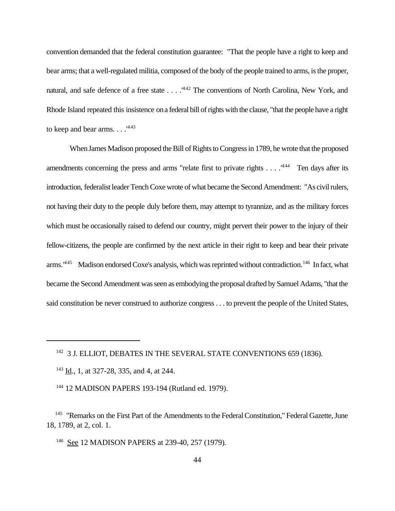convention demanded that the federal constitution guarantee: "That the people have a right to keep and bear arms; that a well-regulated militia, composed of the body of the people trained to arms, is the proper, natural, and safe defence of a free state . . . . "<sup>142</sup> The conventions of North Carolina, New York, and Rhode Island repeated this insistence on a federal bill of rights with the clause, "that the people have a right to keep and bear arms.  $\ldots$ <sup>"143</sup>

When James Madison proposed the Bill of Rights to Congress in 1789, he wrote that the proposed amendments concerning the press and arms "relate first to private rights  $\dots$ ."<sup>144</sup> Ten days after its introduction, federalist leader Tench Coxe wrote of what became the Second Amendment: "As civil rulers, not having their duty to the people duly before them, may attempt to tyrannize, and as the military forces which must be occasionally raised to defend our country, might pervert their power to the injury of their fellow-citizens, the people are confirmed by the next article in their right to keep and bear their private arms."<sup>145</sup> Madison endorsed Coxe's analysis, which was reprinted without contradiction.<sup>146</sup> In fact, what became the Second Amendment was seen as embodying the proposal drafted by Samuel Adams, "that the said constitution be never construed to authorize congress . . . to prevent the people of the United States,

<sup>&</sup>lt;sup>142</sup> 3 J. ELLIOT, DEBATES IN THE SEVERAL STATE CONVENTIONS 659 (1836).

<sup>143</sup> Id., 1, at 327-28, 335, and 4, at 244.

<sup>144</sup> 12 MADISON PAPERS 193-194 (Rutland ed. 1979).

<sup>&</sup>lt;sup>145</sup> "Remarks on the First Part of the Amendments to the Federal Constitution," Federal Gazette, June 18, 1789, at 2, col. 1.

<sup>&</sup>lt;sup>146</sup> See 12 MADISON PAPERS at 239-40, 257 (1979).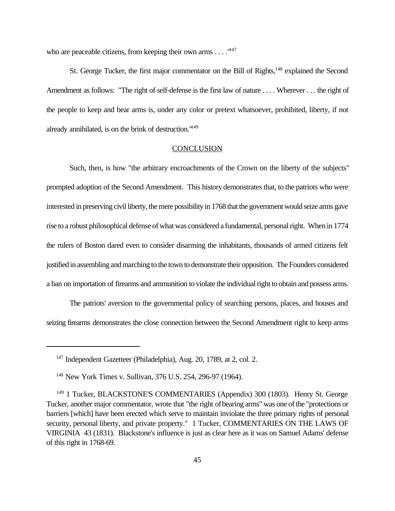who are peaceable citizens, from keeping their own arms  $\dots$ ."<sup>147</sup>

St. George Tucker, the first major commentator on the Bill of Rights,<sup>148</sup> explained the Second Amendment as follows: "The right of self-defense is the first law of nature . . . . Wherever . . . the right of the people to keep and bear arms is, under any color or pretext whatsoever, prohibited, liberty, if not already annihilated, is on the brink of destruction."<sup>149</sup>

### **CONCLUSION**

Such, then, is how "the arbitrary encroachments of the Crown on the liberty of the subjects" prompted adoption of the Second Amendment. This history demonstrates that, to the patriots who were interested in preserving civil liberty, the mere possibility in 1768 that the government would seize arms gave rise to a robust philosophical defense of what was considered a fundamental, personal right. When in 1774 the rulers of Boston dared even to consider disarming the inhabitants, thousands of armed citizens felt justified in assembling and marching to the town to demonstrate their opposition. The Founders considered a ban on importation of firearms and ammunition to violate the individual right to obtain and possess arms.

The patriots' aversion to the governmental policy of searching persons, places, and houses and seizing firearms demonstrates the close connection between the Second Amendment right to keep arms

<sup>147</sup> Independent Gazetteer (Philadelphia), Aug. 20, 1789, at 2, col. 2.

<sup>148</sup> New York Times v. Sullivan, 376 U.S. 254, 296-97 (1964).

<sup>149</sup> 1 Tucker, BLACKSTONE'S COMMENTARIES (Appendix) 300 (1803). Henry St. George Tucker, another major commentator, wrote that "the right of bearing arms" was one of the "protections or barriers [which] have been erected which serve to maintain inviolate the three primary rights of personal security, personal liberty, and private property." 1 Tucker, COMMENTARIES ON THE LAWS OF VIRGINIA 43 (1831). Blackstone's influence is just as clear here as it was on Samuel Adams' defense of this right in 1768-69.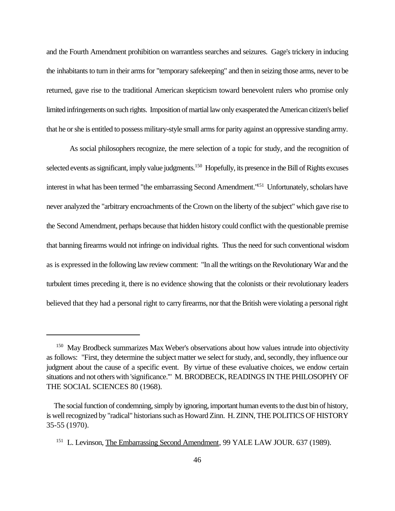and the Fourth Amendment prohibition on warrantless searches and seizures. Gage's trickery in inducing the inhabitants to turn in their arms for "temporary safekeeping" and then in seizing those arms, never to be returned, gave rise to the traditional American skepticism toward benevolent rulers who promise only limited infringements on such rights. Imposition of martial law only exasperated the American citizen's belief that he or she is entitled to possess military-style small arms for parity against an oppressive standing army.

As social philosophers recognize, the mere selection of a topic for study, and the recognition of selected events as significant, imply value judgments.<sup>150</sup> Hopefully, its presence in the Bill of Rights excuses interest in what has been termed "the embarrassing Second Amendment."<sup>151</sup> Unfortunately, scholars have never analyzed the "arbitrary encroachments of the Crown on the liberty of the subject" which gave rise to the Second Amendment, perhaps because that hidden history could conflict with the questionable premise that banning firearms would not infringe on individual rights. Thus the need for such conventional wisdom as is expressed in the following law review comment: "In all the writings on the Revolutionary War and the turbulent times preceding it, there is no evidence showing that the colonists or their revolutionary leaders believed that they had a personal right to carry firearms, nor that the British were violating a personal right

<sup>&</sup>lt;sup>150</sup> May Brodbeck summarizes Max Weber's observations about how values intrude into objectivity as follows: "First, they determine the subject matter we select for study, and, secondly, they influence our judgment about the cause of a specific event. By virtue of these evaluative choices, we endow certain situations and not others with 'significance.'" M. BRODBECK, READINGS IN THE PHILOSOPHY OF THE SOCIAL SCIENCES 80 (1968).

The social function of condemning, simply by ignoring, important human events to the dust bin of history, is well recognized by "radical" historians such as Howard Zinn. H. ZINN, THE POLITICS OF HISTORY 35-55 (1970).

<sup>&</sup>lt;sup>151</sup> L. Levinson, The Embarrassing Second Amendment, 99 YALE LAW JOUR. 637 (1989).